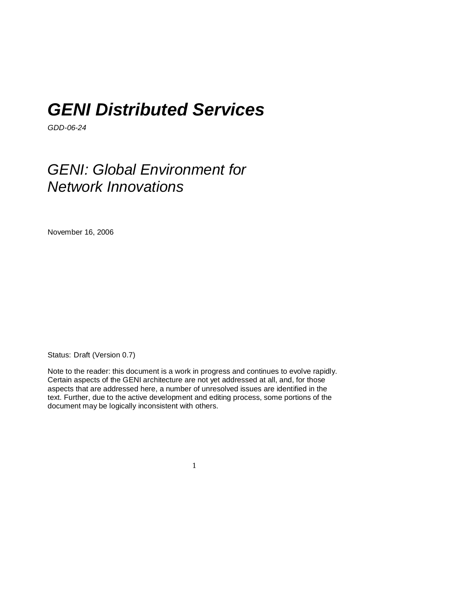# *GENI Distributed Services*

*GDD-06-24* 

# *GENI: Global Environment for Network Innovations*

November 16, 2006

Status: Draft (Version 0.7)

Note to the reader: this document is a work in progress and continues to evolve rapidly. Certain aspects of the GENI architecture are not yet addressed at all, and, for those aspects that are addressed here, a number of unresolved issues are identified in the text. Further, due to the active development and editing process, some portions of the document may be logically inconsistent with others.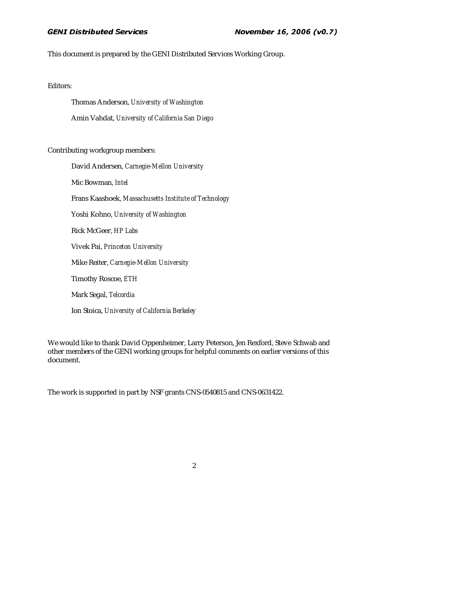This document is prepared by the GENI Distributed Services Working Group.

Editors:

Thomas Anderson, *University of Washington*  Amin Vahdat, *University of California San Diego* 

Contributing workgroup members:

David Andersen, *Carnegie-Mellon University* Mic Bowman, *Intel* Frans Kaashoek, *Massachusetts Institute of Technology*  Yoshi Kohno, *University of Washington*  Rick McGeer, *HP Labs*  Vivek Pai, *Princeton University*  Mike Reiter, *Carnegie-Mellon University*  Timothy Roscoe, *ETH*  Mark Segal, *Telcordia*  Ion Stoica, *University of California Berkeley* 

We would like to thank David Oppenheimer, Larry Peterson, Jen Rexford, Steve Schwab and other members of the GENI working groups for helpful comments on earlier versions of this document.

The work is supported in part by NSF grants CNS-0540815 and CNS-0631422.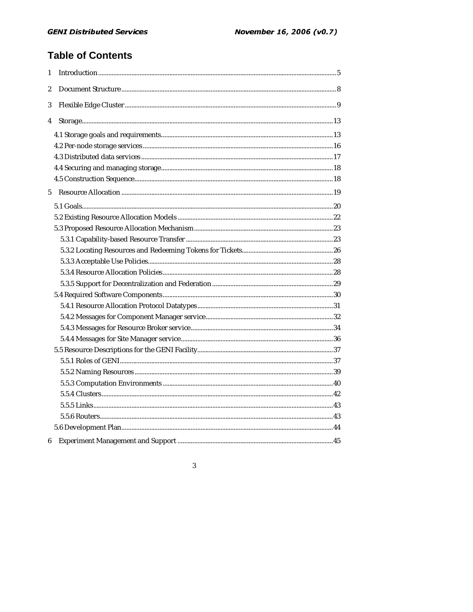## **Table of Contents**

| 1           |  |
|-------------|--|
| 2           |  |
| 3           |  |
| 4           |  |
|             |  |
|             |  |
|             |  |
|             |  |
|             |  |
| $5^{\circ}$ |  |
|             |  |
|             |  |
|             |  |
|             |  |
|             |  |
|             |  |
|             |  |
|             |  |
|             |  |
|             |  |
|             |  |
|             |  |
|             |  |
|             |  |
|             |  |
|             |  |
|             |  |
|             |  |
|             |  |
|             |  |
|             |  |
| 6           |  |

 $\mathbf{3}$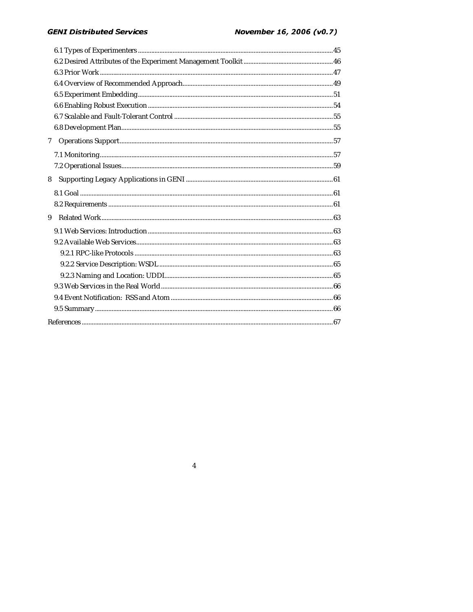### **GENI Distributed Services**

| 7 |  |  |
|---|--|--|
|   |  |  |
|   |  |  |
| 8 |  |  |
|   |  |  |
|   |  |  |
| 9 |  |  |
|   |  |  |
|   |  |  |
|   |  |  |
|   |  |  |
|   |  |  |
|   |  |  |
|   |  |  |
|   |  |  |
|   |  |  |

 $\overline{\mathbf{4}}$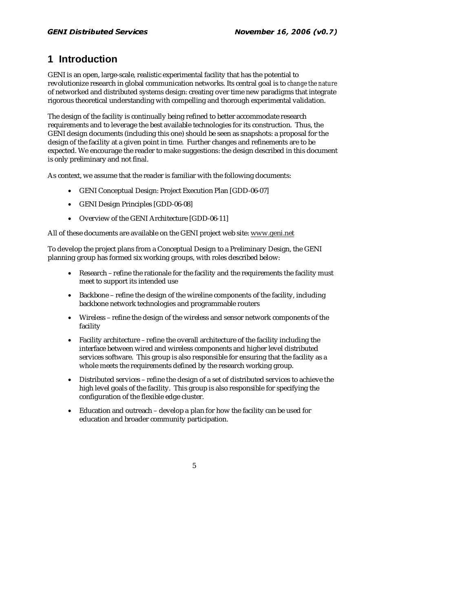## **1 Introduction**

GENI is an open, large-scale, realistic experimental facility that has the potential to revolutionize research in global communication networks. Its central goal is to *change the nature*  of networked and distributed systems design: creating over time new paradigms that integrate rigorous theoretical understanding with compelling and thorough experimental validation.

The design of the facility is continually being refined to better accommodate research requirements and to leverage the best available technologies for its construction. Thus, the GENI design documents (including this one) should be seen as snapshots: a proposal for the design of the facility at a given point in time. Further changes and refinements are to be expected. We encourage the reader to make suggestions: the design described in this document is only preliminary and not final.

As context, we assume that the reader is familiar with the following documents:

- GENI Conceptual Design: Project Execution Plan [GDD-06-07]
- GENI Design Principles [GDD-06-08]
- Overview of the GENI Architecture [GDD-06-11]

All of these documents are available on the GENI project web site: www.geni.net

To develop the project plans from a Conceptual Design to a Preliminary Design, the GENI planning group has formed six working groups, with roles described below:

- Research refine the rationale for the facility and the requirements the facility must meet to support its intended use
- Backbone refine the design of the wireline components of the facility, including backbone network technologies and programmable routers
- Wireless refine the design of the wireless and sensor network components of the facility
- Facility architecture refine the overall architecture of the facility including the interface between wired and wireless components and higher level distributed services software. This group is also responsible for ensuring that the facility as a whole meets the requirements defined by the research working group.
- Distributed services refine the design of a set of distributed services to achieve the high level goals of the facility. This group is also responsible for specifying the configuration of the flexible edge cluster.
- Education and outreach develop a plan for how the facility can be used for education and broader community participation.

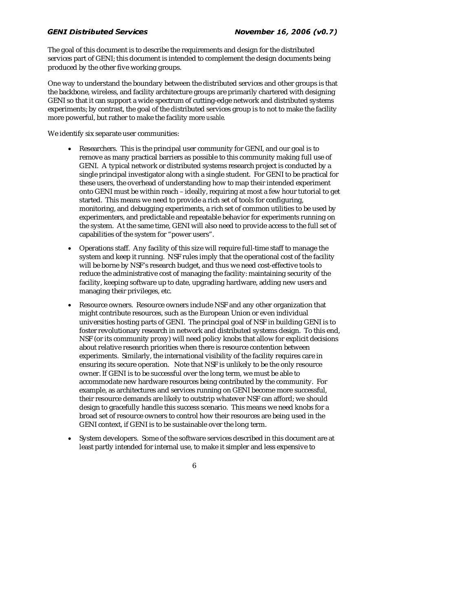The goal of this document is to describe the requirements and design for the distributed services part of GENI; this document is intended to complement the design documents being produced by the other five working groups.

One way to understand the boundary between the distributed services and other groups is that the backbone, wireless, and facility architecture groups are primarily chartered with designing GENI so that it can support a wide spectrum of cutting-edge network and distributed systems experiments; by contrast, the goal of the distributed services group is to not to make the facility more powerful, but rather to make the facility more *usable.* 

We identify six separate user communities:

- Researchers. This is the principal user community for GENI, and our goal is to remove as many practical barriers as possible to this community making full use of GENI. A typical network or distributed systems research project is conducted by a single principal investigator along with a single student. For GENI to be practical for these users, the overhead of understanding how to map their intended experiment onto GENI must be within reach – ideally, requiring at most a few hour tutorial to get started. This means we need to provide a rich set of tools for configuring, monitoring, and debugging experiments, a rich set of common utilities to be used by experimenters, and predictable and repeatable behavior for experiments running on the system. At the same time, GENI will also need to provide access to the full set of capabilities of the system for "power users".
- Operations staff. Any facility of this size will require full-time staff to manage the system and keep it running. NSF rules imply that the operational cost of the facility will be borne by NSF's research budget, and thus we need cost-effective tools to reduce the administrative cost of managing the facility: maintaining security of the facility, keeping software up to date, upgrading hardware, adding new users and managing their privileges, etc.
- Resource owners. Resource owners include NSF and any other organization that might contribute resources, such as the European Union or even individual universities hosting parts of GENI. The principal goal of NSF in building GENI is to foster revolutionary research in network and distributed systems design. To this end, NSF (or its community proxy) will need policy knobs that allow for explicit decisions about relative research priorities when there is resource contention between experiments. Similarly, the international visibility of the facility requires care in ensuring its secure operation. Note that NSF is unlikely to be the only resource owner. If GENI is to be successful over the long term, we must be able to accommodate new hardware resources being contributed by the community. For example, as architectures and services running on GENI become more successful, their resource demands are likely to outstrip whatever NSF can afford; we should design to gracefully handle this success scenario. This means we need knobs for a broad set of resource owners to control how their resources are being used in the GENI context, if GENI is to be sustainable over the long term.
- System developers. Some of the software services described in this document are at least partly intended for internal use, to make it simpler and less expensive to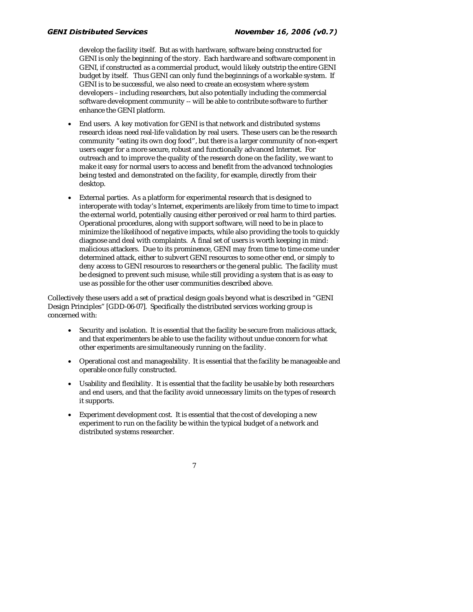develop the facility itself. But as with hardware, software being constructed for GENI is only the beginning of the story. Each hardware and software component in GENI, if constructed as a commercial product, would likely outstrip the entire GENI budget by itself. Thus GENI can only fund the beginnings of a workable system. If GENI is to be successful, we also need to create an ecosystem where system developers – including researchers, but also potentially including the commercial software development community -- will be able to contribute software to further enhance the GENI platform.

- End users. A key motivation for GENI is that network and distributed systems research ideas need real-life validation by real users. These users can be the research community "eating its own dog food", but there is a larger community of non-expert users eager for a more secure, robust and functionally advanced Internet. For outreach and to improve the quality of the research done on the facility, we want to make it easy for normal users to access and benefit from the advanced technologies being tested and demonstrated on the facility, for example, directly from their desktop.
- External parties. As a platform for experimental research that is designed to interoperate with today's Internet, experiments are likely from time to time to impact the external world, potentially causing either perceived or real harm to third parties. Operational procedures, along with support software, will need to be in place to minimize the likelihood of negative impacts, while also providing the tools to quickly diagnose and deal with complaints. A final set of users is worth keeping in mind: malicious attackers. Due to its prominence, GENI may from time to time come under determined attack, either to subvert GENI resources to some other end, or simply to deny access to GENI resources to researchers or the general public. The facility must be designed to prevent such misuse, while still providing a system that is as easy to use as possible for the other user communities described above.

Collectively these users add a set of practical design goals beyond what is described in "GENI Design Principles" [GDD-06-07]. Specifically the distributed services working group is concerned with:

- Security and isolation. It is essential that the facility be secure from malicious attack, and that experimenters be able to use the facility without undue concern for what other experiments are simultaneously running on the facility.
- Operational cost and manageability. It is essential that the facility be manageable and operable once fully constructed.
- Usability and flexibility. It is essential that the facility be usable by both researchers and end users, and that the facility avoid unnecessary limits on the types of research it supports.
- Experiment development cost. It is essential that the cost of developing a new experiment to run on the facility be within the typical budget of a network and distributed systems researcher.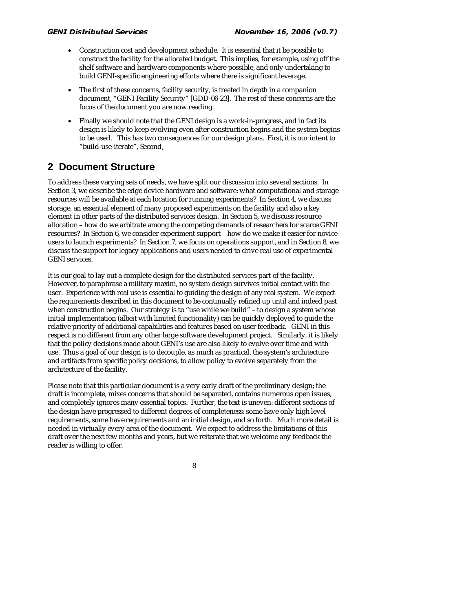- Construction cost and development schedule. It is essential that it be possible to construct the facility for the allocated budget. This implies, for example, using off the shelf software and hardware components where possible, and only undertaking to build GENI-specific engineering efforts where there is significant leverage.
- The first of these concerns, facility security, is treated in depth in a companion document, "GENI Facility Security" [GDD-06-23]. The rest of these concerns are the focus of the document you are now reading.
- Finally we should note that the GENI design is a work-in-progress, and in fact its design is likely to keep evolving even after construction begins and the system begins to be used. This has two consequences for our design plans. First, it is our intent to "build-use-iterate", Second,

## **2 Document Structure**

To address these varying sets of needs, we have split our discussion into several sections. In Section 3, we describe the edge device hardware and software: what computational and storage resources will be available at each location for running experiments? In Section 4, we discuss storage, an essential element of many proposed experiments on the facility and also a key element in other parts of the distributed services design. In Section 5, we discuss resource allocation – how do we arbitrate among the competing demands of researchers for scarce GENI resources? In Section 6, we consider experiment support – how do we make it easier for novice users to launch experiments? In Section 7, we focus on operations support, and in Section 8, we discuss the support for legacy applications and users needed to drive real use of experimental GENI services.

It is our goal to lay out a complete design for the distributed services part of the facility. However, to paraphrase a military maxim, no system design survives initial contact with the user. Experience with real use is essential to guiding the design of any real system. We expect the requirements described in this document to be continually refined up until and indeed past when construction begins. Our strategy is to "use while we build" – to design a system whose initial implementation (albeit with limited functionality) can be quickly deployed to guide the relative priority of additional capabilities and features based on user feedback. GENI in this respect is no different from any other large software development project. Similarly, it is likely that the policy decisions made about GENI's use are also likely to evolve over time and with use. Thus a goal of our design is to decouple, as much as practical, the system's architecture and artifacts from specific policy decisions, to allow policy to evolve separately from the architecture of the facility.

Please note that this particular document is a very early draft of the preliminary design; the draft is incomplete, mixes concerns that should be separated, contains numerous open issues, and completely ignores many essential topics. Further, the text is uneven: different sections of the design have progressed to different degrees of completeness: some have only high level requirements, some have requirements and an initial design, and so forth. Much more detail is needed in virtually every area of the document. We expect to address the limitations of this draft over the next few months and years, but we reiterate that we welcome any feedback the reader is willing to offer.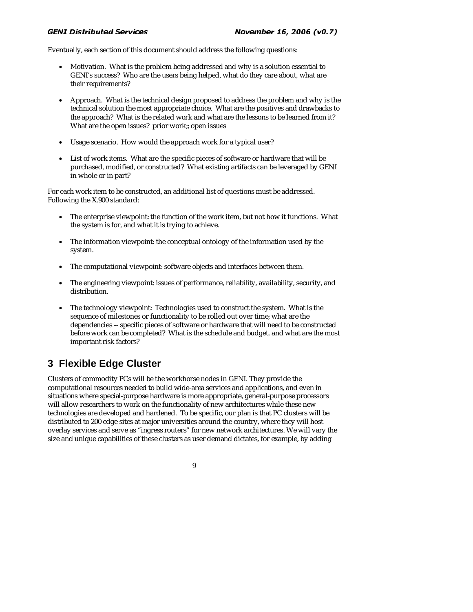#### $\sum_{i=1}^{n}$ palla Scr

Eventually, each section of this document should address the following questions:

- Motivation. What is the problem being addressed and why is a solution essential to GENI's success? Who are the users being helped, what do they care about, what are their requirements?
- Approach. What is the technical design proposed to address the problem and why is the technical solution the most appropriate choice. What are the positives and drawbacks to the approach? What is the related work and what are the lessons to be learned from it? What are the open issues? prior work;; open issues
- Usage scenario. How would the approach work for a typical user?
- List of work items. What are the specific pieces of software or hardware that will be purchased, modified, or constructed? What existing artifacts can be leveraged by GENI in whole or in part?

For each work item to be constructed, an additional list of questions must be addressed. Following the X.900 standard:

- The enterprise viewpoint: the function of the work item, but not how it functions. What the system is for, and what it is trying to achieve.
- The information viewpoint: the conceptual ontology of the information used by the system.
- The computational viewpoint: software objects and interfaces between them.
- The engineering viewpoint: issues of performance, reliability, availability, security, and distribution.
- The technology viewpoint: Technologies used to construct the system. What is the sequence of milestones or functionality to be rolled out over time; what are the dependencies -- specific pieces of software or hardware that will need to be constructed before work can be completed? What is the schedule and budget, and what are the most important risk factors?

## **3 Flexible Edge Cluster**

Clusters of commodity PCs will be the workhorse nodes in GENI. They provide the computational resources needed to build wide-area services and applications, and even in situations where special-purpose hardware is more appropriate, general-purpose processors will allow researchers to work on the functionality of new architectures while these new technologies are developed and hardened. To be specific, our plan is that PC clusters will be distributed to 200 edge sites at major universities around the country, where they will host overlay services and serve as "ingress routers" for new network architectures. We will vary the size and unique capabilities of these clusters as user demand dictates, for example, by adding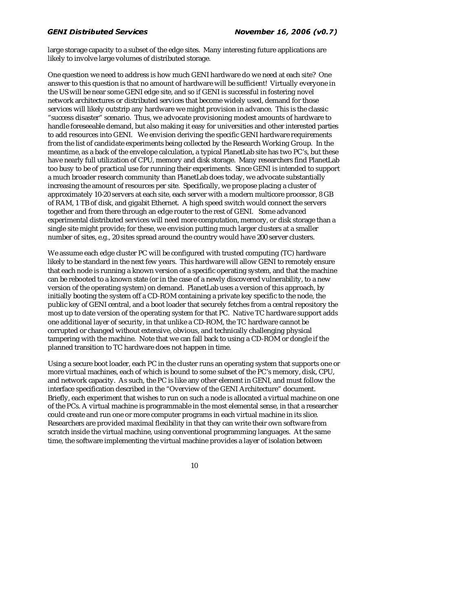large storage capacity to a subset of the edge sites. Many interesting future applications are likely to involve large volumes of distributed storage.

One question we need to address is how much GENI hardware do we need at each site? One answer to this question is that no amount of hardware will be sufficient! Virtually everyone in the US will be near some GENI edge site, and so if GENI is successful in fostering novel network architectures or distributed services that become widely used, demand for those services will likely outstrip any hardware we might provision in advance. This is the classic "success disaster" scenario. Thus, we advocate provisioning modest amounts of hardware to handle foreseeable demand, but also making it easy for universities and other interested parties to add resources into GENI. We envision deriving the specific GENI hardware requirements from the list of candidate experiments being collected by the Research Working Group. In the meantime, as a back of the envelope calculation, a typical PlanetLab site has two PC's, but these have nearly full utilization of CPU, memory and disk storage. Many researchers find PlanetLab too busy to be of practical use for running their experiments. Since GENI is intended to support a much broader research community than PlanetLab does today, we advocate substantially increasing the amount of resources per site. Specifically, we propose placing a cluster of approximately 10-20 servers at each site, each server with a modern multicore processor, 8 GB of RAM, 1 TB of disk, and gigabit Ethernet. A high speed switch would connect the servers together and from there through an edge router to the rest of GENI. Some advanced experimental distributed services will need more computation, memory, or disk storage than a single site might provide; for these, we envision putting much larger clusters at a smaller number of sites, e.g., 20 sites spread around the country would have 200 server clusters.

We assume each edge cluster PC will be configured with trusted computing (TC) hardware likely to be standard in the next few years. This hardware will allow GENI to remotely ensure that each node is running a known version of a specific operating system, and that the machine can be rebooted to a known state (or in the case of a newly discovered vulnerability, to a new version of the operating system) on demand. PlanetLab uses a version of this approach, by initially booting the system off a CD-ROM containing a private key specific to the node, the public key of GENI central, and a boot loader that securely fetches from a central repository the most up to date version of the operating system for that PC. Native TC hardware support adds one additional layer of security, in that unlike a CD-ROM, the TC hardware cannot be corrupted or changed without extensive, obvious, and technically challenging physical tampering with the machine. Note that we can fall back to using a CD-ROM or dongle if the planned transition to TC hardware does not happen in time.

Using a secure boot loader, each PC in the cluster runs an operating system that supports one or more virtual machines, each of which is bound to some subset of the PC's memory, disk, CPU, and network capacity. As such, the PC is like any other element in GENI, and must follow the interface specification described in the "Overview of the GENI Architecture" document. Briefly, each experiment that wishes to run on such a node is allocated a virtual machine on one of the PCs. A virtual machine is programmable in the most elemental sense, in that a researcher could create and run one or more computer programs in each virtual machine in its slice. Researchers are provided maximal flexibility in that they can write their own software from scratch inside the virtual machine, using conventional programming languages. At the same time, the software implementing the virtual machine provides a layer of isolation between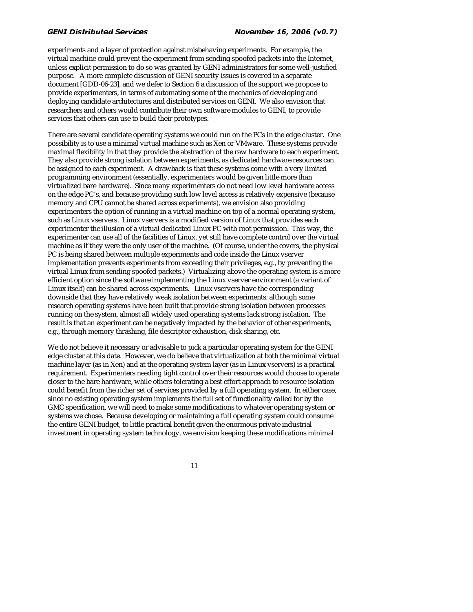experiments and a layer of protection against misbehaving experiments. For example, the virtual machine could prevent the experiment from sending spoofed packets into the Internet, unless explicit permission to do so was granted by GENI administrators for some well-justified purpose. A more complete discussion of GENI security issues is covered in a separate document [GDD-06-23], and we defer to Section 6 a discussion of the support we propose to provide experimenters, in terms of automating some of the mechanics of developing and deploying candidate architectures and distributed services on GENI. We also envision that researchers and others would contribute their own software modules to GENI, to provide services that others can use to build their prototypes.

There are several candidate operating systems we could run on the PCs in the edge cluster. One possibility is to use a minimal virtual machine such as Xen or VMware. These systems provide maximal flexibility in that they provide the abstraction of the raw hardware to each experiment. They also provide strong isolation between experiments, as dedicated hardware resources can be assigned to each experiment. A drawback is that these systems come with a very limited programming environment (essentially, experimenters would be given little more than virtualized bare hardware). Since many experimenters do not need low level hardware access on the edge PC's, and because providing such low level access is relatively expensive (because memory and CPU cannot be shared across experiments), we envision also providing experimenters the option of running in a virtual machine on top of a normal operating system, such as Linux vservers. Linux vservers is a modified version of Linux that provides each experimenter the illusion of a virtual dedicated Linux PC with root permission. This way, the experimenter can use all of the facilities of Linux, yet still have complete control over the virtual machine as if they were the only user of the machine. (Of course, under the covers, the physical PC is being shared between multiple experiments and code inside the Linux vserver implementation prevents experiments from exceeding their privileges, e.g., by preventing the virtual Linux from sending spoofed packets.) Virtualizing above the operating system is a more efficient option since the software implementing the Linux vserver environment (a variant of Linux itself) can be shared across experiments. Linux vservers have the corresponding downside that they have relatively weak isolation between experiments; although some research operating systems have been built that provide strong isolation between processes running on the system, almost all widely used operating systems lack strong isolation. The result is that an experiment can be negatively impacted by the behavior of other experiments, e.g., through memory thrashing, file descriptor exhaustion, disk sharing, etc.

We do not believe it necessary or advisable to pick a particular operating system for the GENI edge cluster at this date. However, we do believe that virtualization at both the minimal virtual machine layer (as in Xen) and at the operating system layer (as in Linux vservers) is a practical requirement. Experimenters needing tight control over their resources would choose to operate closer to the bare hardware, while others tolerating a best effort approach to resource isolation could benefit from the richer set of services provided by a full operating system. In either case, since no existing operating system implements the full set of functionality called for by the GMC specification, we will need to make some modifications to whatever operating system or systems we chose. Because developing or maintaining a full operating system could consume the entire GENI budget, to little practical benefit given the enormous private industrial investment in operating system technology, we envision keeping these modifications minimal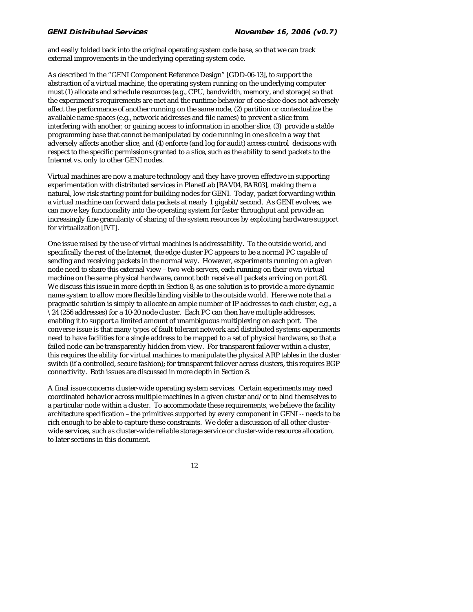and easily folded back into the original operating system code base, so that we can track external improvements in the underlying operating system code.

As described in the "GENI Component Reference Design" [GDD-06-13], to support the abstraction of a virtual machine, the operating system running on the underlying computer must (1) allocate and schedule resources (e.g., CPU, bandwidth, memory, and storage) so that the experiment's requirements are met and the runtime behavior of one slice does not adversely affect the performance of another running on the same node, (2) partition or contextualize the available name spaces (e.g., network addresses and file names) to prevent a slice from interfering with another, or gaining access to information in another slice, (3) provide a stable programming base that cannot be manipulated by code running in one slice in a way that adversely affects another slice, and (4) enforce (and log for audit) access control decisions with respect to the specific permissions granted to a slice, such as the ability to send packets to the Internet vs. only to other GENI nodes.

Virtual machines are now a mature technology and they have proven effective in supporting experimentation with distributed services in PlanetLab [BAV04, BAR03], making them a natural, low-risk starting point for building nodes for GENI. Today, packet forwarding within a virtual machine can forward data packets at nearly 1 gigabit/second. As GENI evolves, we can move key functionality into the operating system for faster throughput and provide an increasingly fine granularity of sharing of the system resources by exploiting hardware support for virtualization [IVT].

One issue raised by the use of virtual machines is addressability. To the outside world, and specifically the rest of the Internet, the edge cluster PC appears to be a normal PC capable of sending and receiving packets in the normal way. However, experiments running on a given node need to share this external view – two web servers, each running on their own virtual machine on the same physical hardware, cannot both receive all packets arriving on port 80. We discuss this issue in more depth in Section 8, as one solution is to provide a more dynamic name system to allow more flexible binding visible to the outside world. Here we note that a pragmatic solution is simply to allocate an ample number of IP addresses to each cluster, e.g., a \24 (256 addresses) for a 10-20 node cluster. Each PC can then have multiple addresses, enabling it to support a limited amount of unambiguous multiplexing on each port. The converse issue is that many types of fault tolerant network and distributed systems experiments need to have facilities for a single address to be mapped to a set of physical hardware, so that a failed node can be transparently hidden from view. For transparent failover within a cluster, this requires the ability for virtual machines to manipulate the physical ARP tables in the cluster switch (if a controlled, secure fashion); for transparent failover across clusters, this requires BGP connectivity. Both issues are discussed in more depth in Section 8.

A final issue concerns cluster-wide operating system services. Certain experiments may need coordinated behavior across multiple machines in a given cluster and/or to bind themselves to a particular node within a cluster. To accommodate these requirements, we believe the facility architecture specification – the primitives supported by every component in GENI -- needs to be rich enough to be able to capture these constraints. We defer a discussion of all other clusterwide services, such as cluster-wide reliable storage service or cluster-wide resource allocation, to later sections in this document.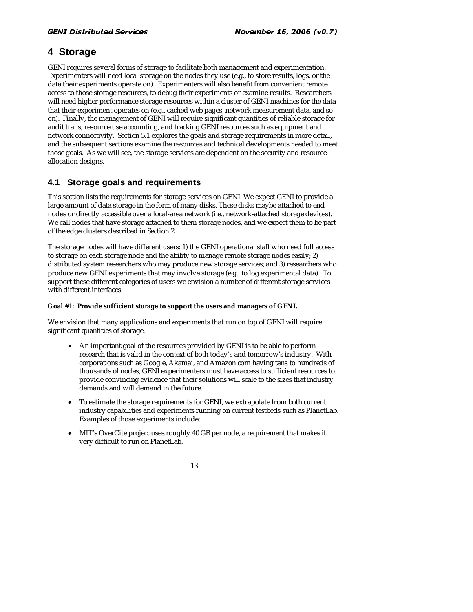## **4 Storage**

GENI requires several forms of storage to facilitate both management and experimentation. Experimenters will need local storage on the nodes they use (e.g., to store results, logs, or the data their experiments operate on). Experimenters will also benefit from convenient remote access to those storage resources, to debug their experiments or examine results. Researchers will need higher performance storage resources within a cluster of GENI machines for the data that their experiment operates on (e.g., cached web pages, network measurement data, and so on). Finally, the management of GENI will require significant quantities of reliable storage for audit trails, resource use accounting, and tracking GENI resources such as equipment and network connectivity. Section 5.1 explores the goals and storage requirements in more detail, and the subsequent sections examine the resources and technical developments needed to meet those goals. As we will see, the storage services are dependent on the security and resourceallocation designs.

## **4.1 Storage goals and requirements**

This section lists the requirements for storage services on GENI. We expect GENI to provide a large amount of data storage in the form of many disks. These disks maybe attached to end nodes or directly accessible over a local-area network (i.e., network-attached storage devices). We call nodes that have storage attached to them storage nodes, and we expect them to be part of the edge clusters described in Section 2.

The storage nodes will have different users: 1) the GENI operational staff who need full access to storage on each storage node and the ability to manage remote storage nodes easily; 2) distributed system researchers who may produce new storage services; and 3) researchers who produce new GENI experiments that may involve storage (e.g., to log experimental data). To support these different categories of users we envision a number of different storage services with different interfaces.

### **Goal #1: Provide sufficient storage to support the users and managers of GENI.**

We envision that many applications and experiments that run on top of GENI will require significant quantities of storage.

- An important goal of the resources provided by GENI is to be able to perform research that is valid in the context of both today's and tomorrow's industry. With corporations such as Google, Akamai, and Amazon.com having tens to hundreds of thousands of nodes, GENI experimenters must have access to sufficient resources to provide convincing evidence that their solutions will scale to the sizes that industry demands and will demand in the future.
- To estimate the storage requirements for GENI, we extrapolate from both current industry capabilities and experiments running on current testbeds such as PlanetLab. Examples of those experiments include:
- MIT's OverCite project uses roughly 40 GB per node, a requirement that makes it very difficult to run on PlanetLab.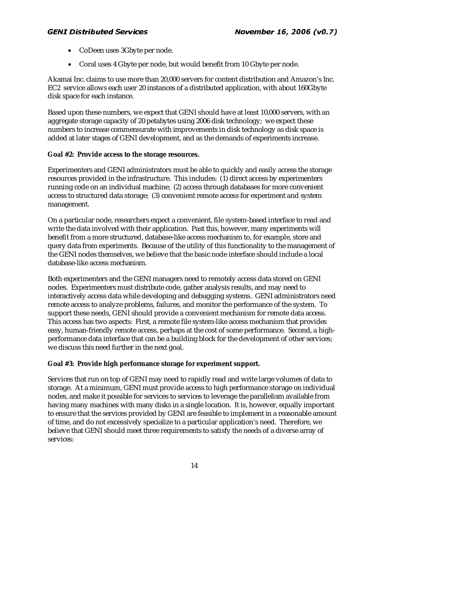- CoDeen uses 3Gbyte per node.
- Coral uses 4 Gbyte per node, but would benefit from 10 Gbyte per node.

Akamai Inc. claims to use more than 20,000 servers for content distribution and Amazon's Inc. EC2 service allows each user 20 instances of a distributed application, with about 160Gbyte disk space for each instance.

Based upon these numbers, we expect that GENI should have at least 10,000 servers, with an aggregate storage capacity of 20 petabytes using 2006 disk technology; we expect these numbers to increase commensurate with improvements in disk technology as disk space is added at later stages of GENI development, and as the demands of experiments increase.

### **Goal #2: Provide access to the storage resources.**

Experimenters and GENI administrators must be able to quickly and easily access the storage resources provided in the infrastructure. This includes: (1) direct access by experimenters running code on an individual machine; (2) access through databases for more convenient access to structured data storage; (3) convenient remote access for experiment and system management.

On a particular node, researchers expect a convenient, file system-based interface to read and write the data involved with their application. Past this, however, many experiments will benefit from a more structured, database-like access mechanism to, for example, store and query data from experiments. Because of the utility of this functionality to the management of the GENI nodes themselves, we believe that the basic node interface should include a local database-like access mechanism.

Both experimenters and the GENI managers need to remotely access data stored on GENI nodes. Experimenters must distribute code, gather analysis results, and may need to interactively access data while developing and debugging systems. GENI administrators need remote access to analyze problems, failures, and monitor the performance of the system. To support these needs, GENI should provide a convenient mechanism for remote data access. This access has two aspects: First, a remote file system-like access mechanism that provides easy, human-friendly remote access, perhaps at the cost of some performance. Second, a highperformance data interface that can be a building block for the development of other services; we discuss this need further in the next goal.

### **Goal #3: Provide high performance storage for experiment support.**

Services that run on top of GENI may need to rapidly read and write large volumes of data to storage. At a minimum, GENI must provide access to high performance storage on individual nodes, and make it possible for services to services to leverage the parallelism available from having many machines with many disks in a single location. It is, however, equally important to ensure that the services provided by GENI are feasible to implement in a reasonable amount of time, and do not excessively specialize to a particular application's need. Therefore, we believe that GENI should meet three requirements to satisfy the needs of a diverse array of services: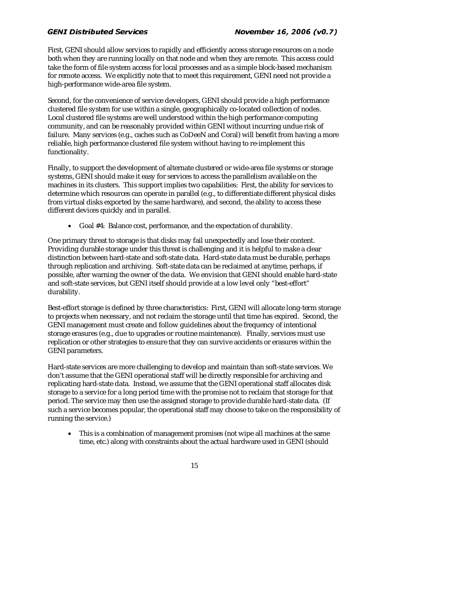First, GENI should allow services to rapidly and efficiently access storage resources on a node both when they are running locally on that node and when they are remote. This access could take the form of file system access for local processes and as a simple block-based mechanism for remote access. We explicitly note that to meet this requirement, GENI need not provide a high-performance wide-area file system.

Second, for the convenience of service developers, GENI should provide a high performance clustered file system for use within a single, geographically co-located collection of nodes. Local clustered file systems are well understood within the high performance computing community, and can be reasonably provided within GENI without incurring undue risk of failure. Many services (e.g., caches such as CoDeeN and Coral) will benefit from having a more reliable, high performance clustered file system without having to re-implement this functionality.

Finally, to support the development of alternate clustered or wide-area file systems or storage systems, GENI should make it easy for services to access the parallelism available on the machines in its clusters. This support implies two capabilities: First, the ability for services to determine which resources can operate in parallel (e.g., to differentiate different physical disks from virtual disks exported by the same hardware), and second, the ability to access these different devices quickly and in parallel.

• Goal #4: Balance cost, performance, and the expectation of durability.

One primary threat to storage is that disks may fail unexpectedly and lose their content. Providing durable storage under this threat is challenging and it is helpful to make a clear distinction between hard-state and soft-state data. Hard-state data must be durable, perhaps through replication and archiving. Soft-state data can be reclaimed at anytime, perhaps, if possible, after warning the owner of the data. We envision that GENI should enable hard-state and soft-state services, but GENI itself should provide at a low level only "best-effort" durability.

Best-effort storage is defined by three characteristics: First, GENI will allocate long-term storage to projects when necessary, and not reclaim the storage until that time has expired. Second, the GENI management must create and follow guidelines about the frequency of intentional storage erasures (e.g., due to upgrades or routine maintenance). Finally, services must use replication or other strategies to ensure that they can survive accidents or erasures within the GENI parameters.

Hard-state services are more challenging to develop and maintain than soft-state services. We don't assume that the GENI operational staff will be directly responsible for archiving and replicating hard-state data. Instead, we assume that the GENI operational staff allocates disk storage to a service for a long period time with the promise not to reclaim that storage for that period. The service may then use the assigned storage to provide durable hard-state data. (If such a service becomes popular, the operational staff may choose to take on the responsibility of running the service.)

This is a combination of management promises (not wipe all machines at the same time, etc.) along with constraints about the actual hardware used in GENI (should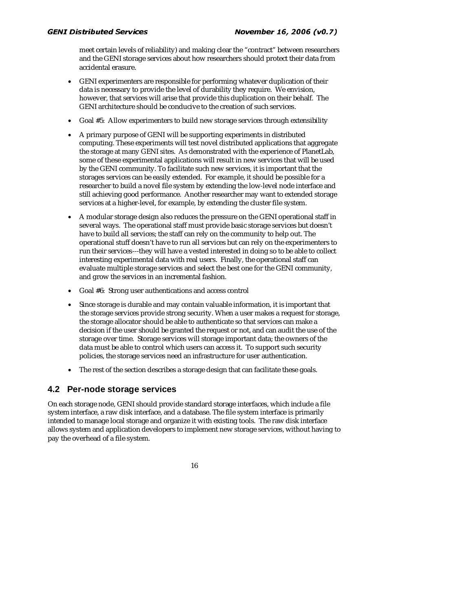meet certain levels of reliability) and making clear the "contract" between researchers and the GENI storage services about how researchers should protect their data from accidental erasure.

- GENI experimenters are responsible for performing whatever duplication of their data is necessary to provide the level of durability they require. We envision, however, that services will arise that provide this duplication on their behalf. The GENI architecture should be conducive to the creation of such services.
- Goal #5: Allow experimenters to build new storage services through extensibility
- A primary purpose of GENI will be supporting experiments in distributed computing. These experiments will test novel distributed applications that aggregate the storage at many GENI sites. As demonstrated with the experience of PlanetLab, some of these experimental applications will result in new services that will be used by the GENI community. To facilitate such new services, it is important that the storages services can be easily extended. For example, it should be possible for a researcher to build a novel file system by extending the low-level node interface and still achieving good performance. Another researcher may want to extended storage services at a higher-level, for example, by extending the cluster file system.
- A modular storage design also reduces the pressure on the GENI operational staff in several ways. The operational staff must provide basic storage services but doesn't have to build all services; the staff can rely on the community to help out. The operational stuff doesn't have to run all services but can rely on the experimenters to run their services---they will have a vested interested in doing so to be able to collect interesting experimental data with real users. Finally, the operational staff can evaluate multiple storage services and select the best one for the GENI community, and grow the services in an incremental fashion.
- Goal #6: Strong user authentications and access control
- Since storage is durable and may contain valuable information, it is important that the storage services provide strong security. When a user makes a request for storage, the storage allocator should be able to authenticate so that services can make a decision if the user should be granted the request or not, and can audit the use of the storage over time. Storage services will storage important data; the owners of the data must be able to control which users can access it. To support such security policies, the storage services need an infrastructure for user authentication.
- The rest of the section describes a storage design that can facilitate these goals.

## **4.2 Per-node storage services**

On each storage node, GENI should provide standard storage interfaces, which include a file system interface, a raw disk interface, and a database. The file system interface is primarily intended to manage local storage and organize it with existing tools. The raw disk interface allows system and application developers to implement new storage services, without having to pay the overhead of a file system.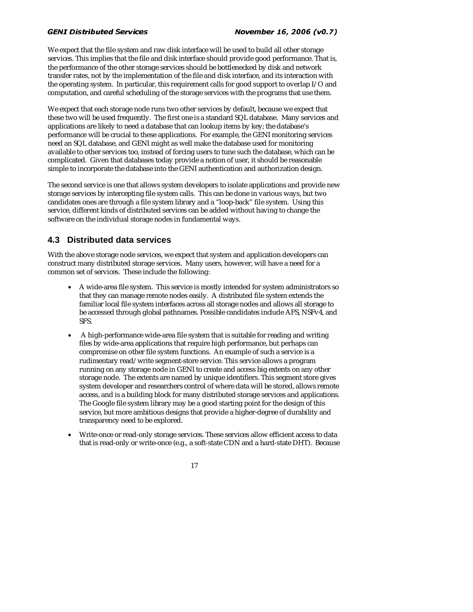We expect that the file system and raw disk interface will be used to build all other storage services. This implies that the file and disk interface should provide good performance. That is, the performance of the other storage services should be bottlenecked by disk and network transfer rates, not by the implementation of the file and disk interface, and its interaction with the operating system. In particular, this requirement calls for good support to overlap I/O and computation, and careful scheduling of the storage services with the programs that use them.

We expect that each storage node runs two other services by default, because we expect that these two will be used frequently. The first one is a standard SQL database. Many services and applications are likely to need a database that can lookup items by key; the database's performance will be crucial to these applications. For example, the GENI monitoring services need an SQL database, and GENI might as well make the database used for monitoring available to other services too, instead of forcing users to tune such the database, which can be complicated. Given that databases today provide a notion of user, it should be reasonable simple to incorporate the database into the GENI authentication and authorization design.

The second service is one that allows system developers to isolate applications and provide new storage services by intercepting file system calls. This can be done in various ways, but two candidates ones are through a file system library and a "loop-back" file system. Using this service, different kinds of distributed services can be added without having to change the software on the individual storage nodes in fundamental ways.

## **4.3 Distributed data services**

With the above storage node services, we expect that system and application developers can construct many distributed storage services. Many users, however, will have a need for a common set of services. These include the following:

- A wide-area file system. This service is mostly intended for system administrators so that they can manage remote nodes easily. A distributed file system extends the familiar local file system interfaces across all storage nodes and allows all storage to be accessed through global pathnames. Possible candidates include AFS, NSFv4, and SFS.
- A high-performance wide-area file system that is suitable for reading and writing files by wide-area applications that require high performance, but perhaps can compromise on other file system functions. An example of such a service is a rudimentary read/write segment-store service. This service allows a program running on any storage node in GENI to create and access big extents on any other storage node. The extents are named by unique identifiers. This segment store gives system developer and researchers control of where data will be stored, allows remote access, and is a building block for many distributed storage services and applications. The Google file system library may be a good starting point for the design of this service, but more ambitious designs that provide a higher-degree of durability and transparency need to be explored.
- Write-once or read-only storage services. These services allow efficient access to data that is read-only or write-once (e.g., a soft-state CDN and a hard-state DHT). Because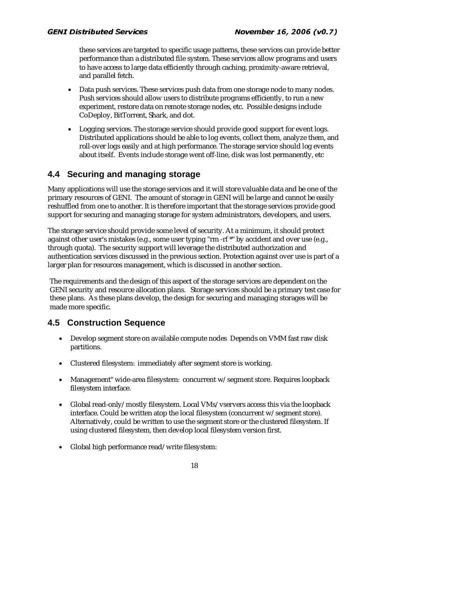these services are targeted to specific usage patterns, these services can provide better performance than a distributed file system. These services allow programs and users to have access to large data efficiently through caching, proximity-aware retrieval, and parallel fetch.

- Data push services. These services push data from one storage node to many nodes. Push services should allow users to distribute programs efficiently, to run a new experiment, restore data on remote storage nodes, etc. Possible designs include CoDeploy, BitTorrent, Shark, and dot.
- Logging services. The storage service should provide good support for event logs. Distributed applications should be able to log events, collect them, analyze them, and roll-over logs easily and at high performance. The storage service should log events about itself. Events include storage went off-line, disk was lost permanently, etc

## **4.4 Securing and managing storage**

Many applications will use the storage services and it will store valuable data and be one of the primary resources of GENI. The amount of storage in GENI will be large and cannot be easily reshuffled from one to another. It is therefore important that the storage services provide good support for securing and managing storage for system administrators, developers, and users.

The storage service should provide some level of security. At a minimum, it should protect against other user's mistakes (e.g., some user typing "rm -rf \*" by accident and over use (e.g., through quota). The security support will leverage the distributed authorization and authentication services discussed in the previous section. Protection against over use is part of a larger plan for resources management, which is discussed in another section.

The requirements and the design of this aspect of the storage services are dependent on the GENI security and resource allocation plans. Storage services should be a primary test case for these plans. As these plans develop, the design for securing and managing storages will be made more specific.

## **4.5 Construction Sequence**

- Develop segment store on available compute nodes Depends on VMM fast raw disk partitions.
- Clustered filesystem: immediately after segment store is working.
- Management" wide-area filesystem: concurrent w/segment store. Requires loopback filesystem interface.
- Global read-only/mostly filesystem. Local VMs/vservers access this via the loopback interface. Could be written atop the local filesystem (concurrent w/segment store). Alternatively, could be written to use the segment store or the clustered filesystem. If using clustered filesystem, then develop local filesystem version first.
- Global high performance read/write filesystem:

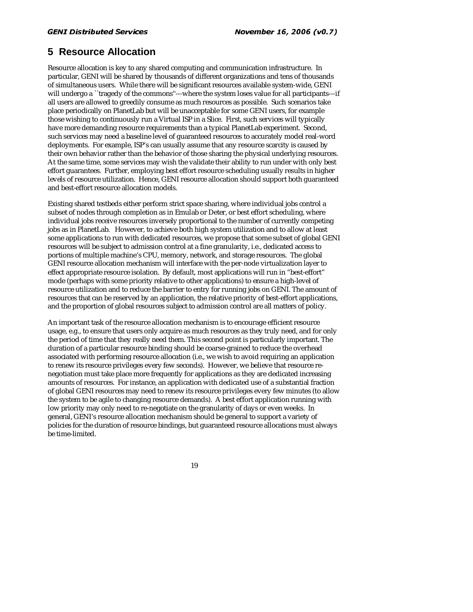## **5 Resource Allocation**

Resource allocation is key to any shared computing and communication infrastructure. In particular, GENI will be shared by thousands of different organizations and tens of thousands of simultaneous users. While there will be significant resources available system-wide, GENI will undergo a "tragedy of the commons"---where the system loses value for all participants---if all users are allowed to greedily consume as much resources as possible. Such scenarios take place periodically on PlanetLab but will be unacceptable for some GENI users, for example those wishing to continuously run a Virtual ISP in a Slice. First, such services will typically have more demanding resource requirements than a typical PlanetLab experiment. Second, such services may need a baseline level of guaranteed resources to accurately model real-word deployments. For example, ISP's can usually assume that any resource scarcity is caused by their own behavior rather than the behavior of those sharing the physical underlying resources. At the same time, some services may wish the validate their ability to run under with only best effort guarantees. Further, employing best effort resource scheduling usually results in higher levels of resource utilization. Hence, GENI resource allocation should support both guaranteed and best-effort resource allocation models.

Existing shared testbeds either perform strict space sharing, where individual jobs control a subset of nodes through completion as in Emulab or Deter, or best effort scheduling, where individual jobs receive resources inversely proportional to the number of currently competing jobs as in PlanetLab. However, to achieve both high system utilization and to allow at least some applications to run with dedicated resources, we propose that some subset of global GENI resources will be subject to admission control at a fine granularity, i.e., dedicated access to portions of multiple machine's CPU, memory, network, and storage resources. The global GENI resource allocation mechanism will interface with the per-node virtualization layer to effect appropriate resource isolation. By default, most applications will run in "best-effort" mode (perhaps with some priority relative to other applications) to ensure a high-level of resource utilization and to reduce the barrier to entry for running jobs on GENI. The amount of resources that can be reserved by an application, the relative priority of best-effort applications, and the proportion of global resources subject to admission control are all matters of policy.

An important task of the resource allocation mechanism is to encourage efficient resource usage, e.g., to ensure that users only acquire as much resources as they truly need, and for only the period of time that they really need them. This second point is particularly important. The duration of a particular resource binding should be coarse-grained to reduce the overhead associated with performing resource allocation (i.e., we wish to avoid requiring an application to renew its resource privileges every few seconds). However, we believe that resource renegotiation must take place more frequently for applications as they are dedicated increasing amounts of resources. For instance, an application with dedicated use of a substantial fraction of global GENI resources may need to renew its resource privileges every few minutes (to allow the system to be agile to changing resource demands). A best effort application running with low priority may only need to re-negotiate on the granularity of days or even weeks. In general, GENI's resource allocation mechanism should be general to support a variety of policies for the duration of resource bindings, but guaranteed resource allocations must always be time-limited.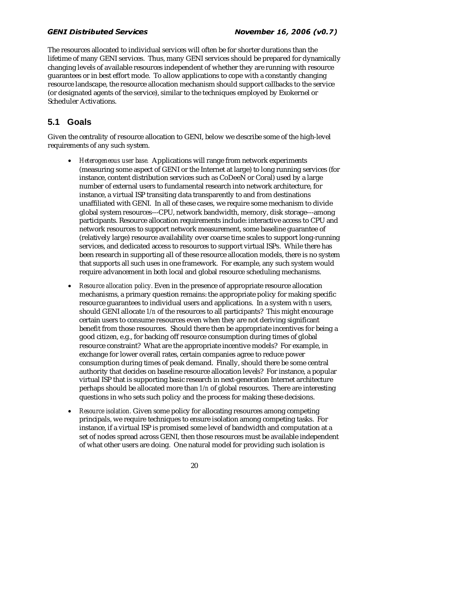The resources allocated to individual services will often be for shorter durations than the lifetime of many GENI services. Thus, many GENI services should be prepared for dynamically changing levels of available resources independent of whether they are running with resource guarantees or in best effort mode. To allow applications to cope with a constantly changing resource landscape, the resource allocation mechanism should support callbacks to the service (or designated agents of the service), similar to the techniques employed by Exokernel or Scheduler Activations.

## **5.1 Goals**

Given the centrality of resource allocation to GENI, below we describe some of the high-level requirements of any such system.

- *Heterogeneous user base.* Applications will range from network experiments (measuring some aspect of GENI or the Internet at large) to long running services (for instance, content distribution services such as CoDeeN or Coral) used by a large number of external users to fundamental research into network architecture, for instance, a virtual ISP transiting data transparently to and from destinations unaffiliated with GENI. In all of these cases, we require some mechanism to divide global system resources---CPU, network bandwidth, memory, disk storage---among participants. Resource allocation requirements include: interactive access to CPU and network resources to support network measurement, some baseline guarantee of (relatively large) resource availability over coarse time scales to support long-running services, and dedicated access to resources to support virtual ISPs. While there has been research in supporting all of these resource allocation models, there is no system that supports all such uses in one framework. For example, any such system would require advancement in both local and global resource scheduling mechanisms.
- *Resource allocation policy.* Even in the presence of appropriate resource allocation mechanisms, a primary question remains: the appropriate policy for making specific resource guarantees to individual users and applications. In a system with *n* users, should GENI allocate *1/n* of the resources to all participants? This might encourage certain users to consume resources even when they are not deriving significant benefit from those resources. Should there then be appropriate incentives for being a good citizen, e.g., for backing off resource consumption during times of global resource constraint? What are the appropriate incentive models? For example, in exchange for lower overall rates, certain companies agree to reduce power consumption during times of peak demand. Finally, should there be some central authority that decides on baseline resource allocation levels? For instance, a popular virtual ISP that is supporting basic research in next-generation Internet architecture perhaps should be allocated more than *1/n* of global resources. There are interesting questions in who sets such policy and the process for making these decisions.
- *Resource isolation.* Given some policy for allocating resources among competing principals, we require techniques to ensure isolation among competing tasks. For instance, if a virtual ISP is promised some level of bandwidth and computation at a set of nodes spread across GENI, then those resources must be available independent of what other users are doing. One natural model for providing such isolation is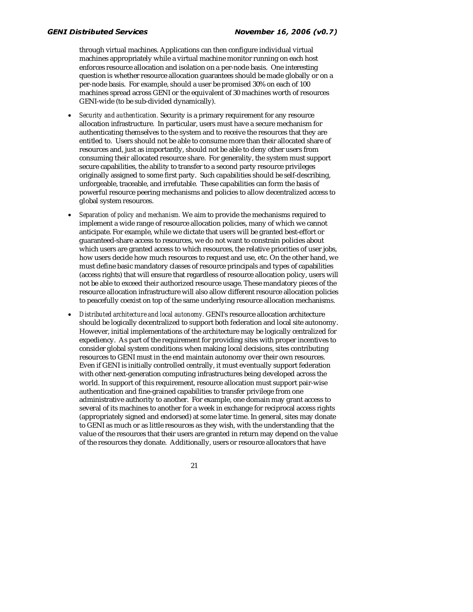through virtual machines. Applications can then configure individual virtual machines appropriately while a virtual machine monitor running on each host enforces resource allocation and isolation on a per-node basis. One interesting question is whether resource allocation guarantees should be made globally or on a per-node basis. For example, should a user be promised 30% on each of 100 machines spread across GENI or the equivalent of 30 machines worth of resources GENI-wide (to be sub-divided dynamically).

- *Security and authentication.* Security is a primary requirement for any resource allocation infrastructure. In particular, users must have a secure mechanism for authenticating themselves to the system and to receive the resources that they are entitled to. Users should not be able to consume more than their allocated share of resources and, just as importantly, should not be able to deny other users from consuming their allocated resource share. For generality, the system must support secure capabilities, the ability to transfer to a second party resource privileges originally assigned to some first party. Such capabilities should be self-describing, unforgeable, traceable, and irrefutable. These capabilities can form the basis of powerful resource peering mechanisms and policies to allow decentralized access to global system resources.
- *Separation of policy and mechanism.* We aim to provide the mechanisms required to implement a wide range of resource allocation policies, many of which we cannot anticipate. For example, while we dictate that users will be granted best-effort or guaranteed-share access to resources, we do not want to constrain policies about which users are granted access to which resources, the relative priorities of user jobs, how users decide how much resources to request and use, etc. On the other hand, we must define basic mandatory classes of resource principals and types of capabilities (access rights) that will ensure that regardless of resource allocation policy, users will not be able to exceed their authorized resource usage. These mandatory pieces of the resource allocation infrastructure will also allow different resource allocation policies to peacefully coexist on top of the same underlying resource allocation mechanisms.
- *Distributed architecture and local autonomy.* GENI's resource allocation architecture should be logically decentralized to support both federation and local site autonomy. However, initial implementations of the architecture may be logically centralized for expediency. As part of the requirement for providing sites with proper incentives to consider global system conditions when making local decisions, sites contributing resources to GENI must in the end maintain autonomy over their own resources. Even if GENI is initially controlled centrally, it must eventually support federation with other next-generation computing infrastructures being developed across the world. In support of this requirement, resource allocation must support pair-wise authentication and fine-grained capabilities to transfer privilege from one administrative authority to another. For example, one domain may grant access to several of its machines to another for a week in exchange for reciprocal access rights (appropriately signed and endorsed) at some later time. In general, sites may donate to GENI as much or as little resources as they wish, with the understanding that the value of the resources that their users are granted in return may depend on the value of the resources they donate. Additionally, users or resource allocators that have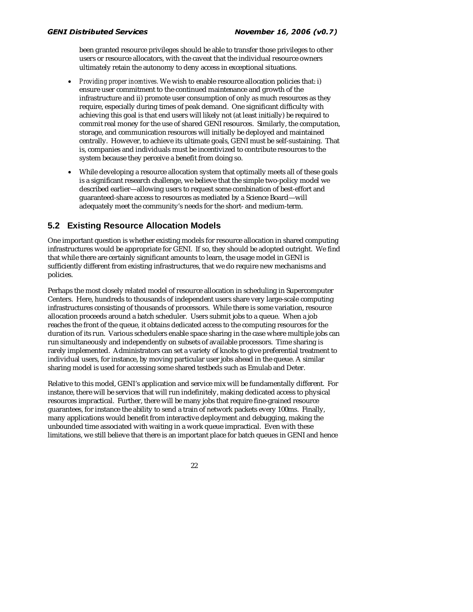been granted resource privileges should be able to transfer those privileges to other users or resource allocators, with the caveat that the individual resource owners ultimately retain the autonomy to deny access in exceptional situations.

- *Providing proper incentives.* We wish to enable resource allocation policies that: i) ensure user commitment to the continued maintenance and growth of the infrastructure and ii) promote user consumption of only as much resources as they require, especially during times of peak demand. One significant difficulty with achieving this goal is that end users will likely not (at least initially) be required to commit real money for the use of shared GENI resources. Similarly, the computation, storage, and communication resources will initially be deployed and maintained centrally. However, to achieve its ultimate goals, GENI must be self-sustaining. That is, companies and individuals must be incentivized to contribute resources to the system because they perceive a benefit from doing so.
- While developing a resource allocation system that optimally meets all of these goals is a significant research challenge, we believe that the simple two-policy model we described earlier—allowing users to request some combination of best-effort and guaranteed-share access to resources as mediated by a Science Board—will adequately meet the community's needs for the short- and medium-term.

## **5.2 Existing Resource Allocation Models**

One important question is whether existing models for resource allocation in shared computing infrastructures would be appropriate for GENI. If so, they should be adopted outright. We find that while there are certainly significant amounts to learn, the usage model in GENI is sufficiently different from existing infrastructures, that we do require new mechanisms and policies.

Perhaps the most closely related model of resource allocation in scheduling in Supercomputer Centers. Here, hundreds to thousands of independent users share very large-scale computing infrastructures consisting of thousands of processors. While there is some variation, resource allocation proceeds around a batch scheduler. Users submit jobs to a queue. When a job reaches the front of the queue, it obtains dedicated access to the computing resources for the duration of its run. Various schedulers enable space sharing in the case where multiple jobs can run simultaneously and independently on subsets of available processors. Time sharing is rarely implemented. Administrators can set a variety of knobs to give preferential treatment to individual users, for instance, by moving particular user jobs ahead in the queue. A similar sharing model is used for accessing some shared testbeds such as Emulab and Deter.

Relative to this model, GENI's application and service mix will be fundamentally different. For instance, there will be services that will run indefinitely, making dedicated access to physical resources impractical. Further, there will be many jobs that require fine-grained resource guarantees, for instance the ability to send a train of network packets every 100ms. Finally, many applications would benefit from interactive deployment and debugging, making the unbounded time associated with waiting in a work queue impractical. Even with these limitations, we still believe that there is an important place for batch queues in GENI and hence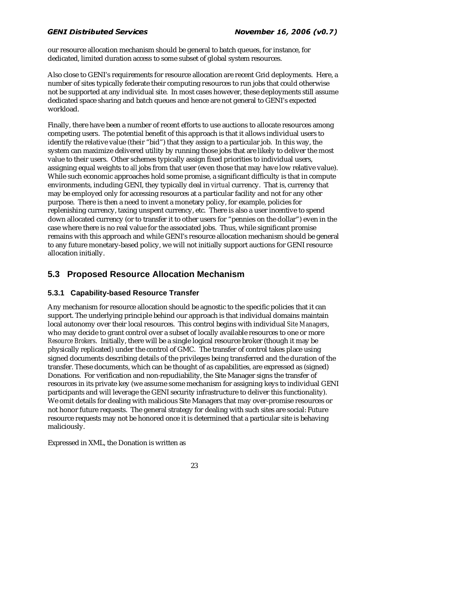our resource allocation mechanism should be general to batch queues, for instance, for dedicated, limited duration access to some subset of global system resources.

Also close to GENI's requirements for resource allocation are recent Grid deployments. Here, a number of sites typically federate their computing resources to run jobs that could otherwise not be supported at any individual site. In most cases however, these deployments still assume dedicated space sharing and batch queues and hence are not general to GENI's expected workload.

Finally, there have been a number of recent efforts to use auctions to allocate resources among competing users. The potential benefit of this approach is that it allows individual users to identify the relative value (their "bid") that they assign to a particular job. In this way, the system can maximize delivered utility by running those jobs that are likely to deliver the most value to their users. Other schemes typically assign fixed priorities to individual users, assigning equal weights to *all* jobs from that user (even those that may have low relative value). While such economic approaches hold some promise, a significant difficulty is that in compute environments, including GENI, they typically deal in *virtual* currency. That is, currency that may be employed only for accessing resources at a particular facility and not for any other purpose. There is then a need to invent a monetary policy, for example, policies for replenishing currency, taxing unspent currency, etc. There is also a user incentive to spend down allocated currency (or to transfer it to other users for "pennies on the dollar") even in the case where there is no real value for the associated jobs. Thus, while significant promise remains with this approach and while GENI's resource allocation mechanism should be general to any future monetary-based policy, we will not initially support auctions for GENI resource allocation initially.

## **5.3 Proposed Resource Allocation Mechanism**

### **5.3.1 Capability-based Resource Transfer**

Any mechanism for resource allocation should be agnostic to the specific policies that it can support. The underlying principle behind our approach is that individual domains maintain local autonomy over their local resources. This control begins with individual *Site Managers*, who may decide to grant control over a subset of locally available resources to one or more *Resource Brokers*. Initially, there will be a single logical resource broker (though it may be physically replicated) under the control of GMC. The transfer of control takes place using signed documents describing details of the privileges being transferred and the duration of the transfer. These documents, which can be thought of as capabilities, are expressed as (signed) Donations.For verification and non-repudiability, the Site Manager signs the transfer of resources in its private key (we assume some mechanism for assigning keys to individual GENI participants and will leverage the GENI security infrastructure to deliver this functionality). We omit details for dealing with malicious Site Managers that may over-promise resources or not honor future requests. The general strategy for dealing with such sites are social: Future resource requests may not be honored once it is determined that a particular site is behaving maliciously.

Expressed in XML, the Donation is written as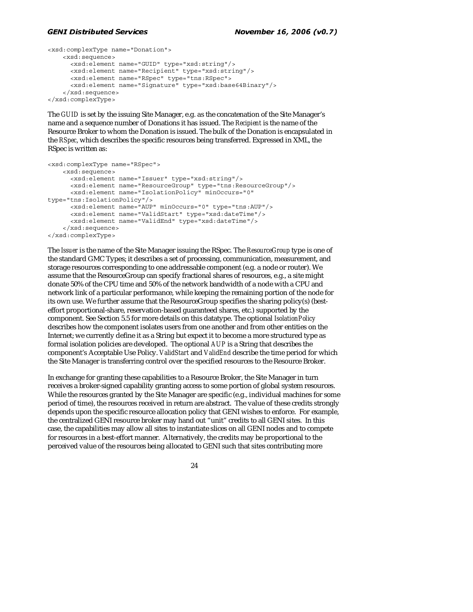```
<xsd:complexType name="Donation"> 
     <xsd:sequence> 
       <xsd:element name="GUID" type="xsd:string"/> 
       <xsd:element name="Recipient" type="xsd:string"/> 
       <xsd:element name="RSpec" type="tns:RSpec"> 
       <xsd:element name="Signature" type="xsd:base64Binary"/> 
     </xsd:sequence> 
</xsd:complexType>
```
The *GUID* is set by the issuing Site Manager, e.g. as the concatenation of the Site Manager's name and a sequence number of Donations it has issued. The *Recipient* is the name of the Resource Broker to whom the Donation is issued. The bulk of the Donation is encapsulated in the *RSpec*, which describes the specific resources being transferred. Expressed in XML, the RSpec is written as:

```
<xsd:complexType name="RSpec"> 
     <xsd:sequence> 
       <xsd:element name="Issuer" type="xsd:string"/> 
       <xsd:element name="ResourceGroup" type="tns:ResourceGroup"/> 
       <xsd:element name="IsolationPolicy" minOccurs="0" 
type="tns:IsolationPolicy"/> 
       <xsd:element name="AUP" minOccurs="0" type="tns:AUP"/> 
       <xsd:element name="ValidStart" type="xsd:dateTime"/> 
       <xsd:element name="ValidEnd" type="xsd:dateTime"/> 
     </xsd:sequence> 
</xsd:complexType>
```
The *Issuer* is the name of the Site Manager issuing the RSpec. The *ResourceGroup* type is one of the standard GMC Types; it describes a set of processing, communication, measurement, and storage resources corresponding to one addressable component (e.g. a node or router). We assume that the ResourceGroup can specify fractional shares of resources, e.g., a site might donate 50% of the CPU time and 50% of the network bandwidth of a node with a CPU and network link of a particular performance, while keeping the remaining portion of the node for its own use. We further assume that the ResourceGroup specifies the sharing policy(s) (besteffort proportional-share, reservation-based guaranteed shares, etc.) supported by the component. See Section 5.5 for more details on this datatype. The optional *IsolationPolicy* describes how the component isolates users from one another and from other entities on the Internet; we currently define it as a String but expect it to become a more structured type as formal isolation policies are developed. The optional *AUP* is a String that describes the component's Acceptable Use Policy. *ValidStart* and *ValidEnd* describe the time period for which the Site Manager is transferring control over the specified resources to the Resource Broker.

In exchange for granting these capabilities to a Resource Broker, the Site Manager in turn receives a broker-signed capability granting access to some portion of global system resources. While the resources granted by the Site Manager are specific (e.g., individual machines for some period of time), the resources received in return are abstract. The value of these credits strongly depends upon the specific resource allocation policy that GENI wishes to enforce. For example, the centralized GENI resource broker may hand out "unit" credits to all GENI sites. In this case, the capabilities may allow all sites to instantiate slices on all GENI nodes and to compete for resources in a best-effort manner. Alternatively, the credits may be proportional to the perceived value of the resources being allocated to GENI such that sites contributing more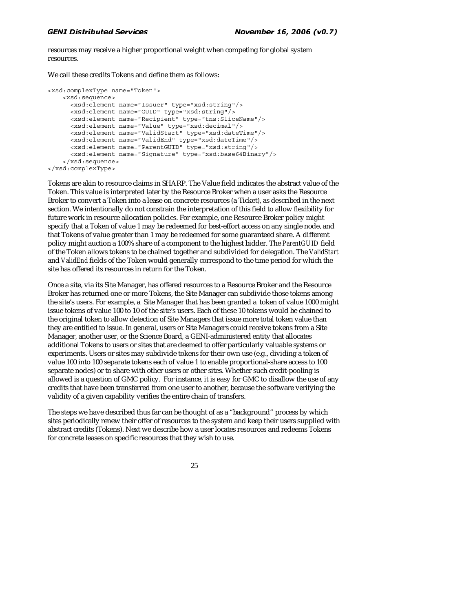resources may receive a higher proportional weight when competing for global system resources.

We call these credits Tokens and define them as follows:

```
<xsd:complexType name="Token"> 
     <xsd:sequence> 
       <xsd:element name="Issuer" type="xsd:string"/> 
       <xsd:element name="GUID" type="xsd:string"/> 
       <xsd:element name="Recipient" type="tns:SliceName"/> 
       <xsd:element name="Value" type="xsd:decimal"/> 
       <xsd:element name="ValidStart" type="xsd:dateTime"/> 
       <xsd:element name="ValidEnd" type="xsd:dateTime"/> 
       <xsd:element name="ParentGUID" type="xsd:string"/> 
       <xsd:element name="Signature" type="xsd:base64Binary"/> 
     </xsd:sequence>
```
</xsd:complexType>

Tokens are akin to resource claims in SHARP. The Value field indicates the abstract value of the Token. This value is interpreted later by the Resource Broker when a user asks the Resource Broker to convert a Token into a lease on concrete resources (a Ticket), as described in the next section. We intentionally do not constrain the interpretation of this field to allow flexibility for future work in resource allocation policies. For example, one Resource Broker policy might specify that a Token of value 1 may be redeemed for best-effort access on any single node, and that Tokens of value greater than 1 may be redeemed for some guaranteed share. A different policy might auction a 100% share of a component to the highest bidder. The *ParentGUID* field of the Token allows tokens to be chained together and subdivided for delegation. The *ValidStart* and *ValidEnd* fields of the Token would generally correspond to the time period for which the site has offered its resources in return for the Token.

Once a site, via its Site Manager, has offered resources to a Resource Broker and the Resource Broker has returned one or more Tokens, the Site Manager can subdivide those tokens among the site's users. For example, a Site Manager that has been granted a token of value 1000 might issue tokens of value 100 to 10 of the site's users. Each of these 10 tokens would be chained to the original token to allow detection of Site Managers that issue more total token value than they are entitled to issue. In general, users or Site Managers could receive tokens from a Site Manager, another user, or the Science Board, a GENI-administered entity that allocates additional Tokens to users or sites that are deemed to offer particularly valuable systems or experiments. Users or sites may subdivide tokens for their own use (e.g., dividing a token of value 100 into 100 separate tokens each of value 1 to enable proportional-share access to 100 separate nodes) or to share with other users or other sites. Whether such credit-pooling is allowed is a question of GMC policy. For instance, it is easy for GMC to disallow the use of any credits that have been transferred from one user to another, because the software verifying the validity of a given capability verifies the entire chain of transfers.

The steps we have described thus far can be thought of as a "background" process by which sites periodically renew their offer of resources to the system and keep their users supplied with abstract credits (Tokens). Next we describe how a user locates resources and redeems Tokens for concrete leases on specific resources that they wish to use.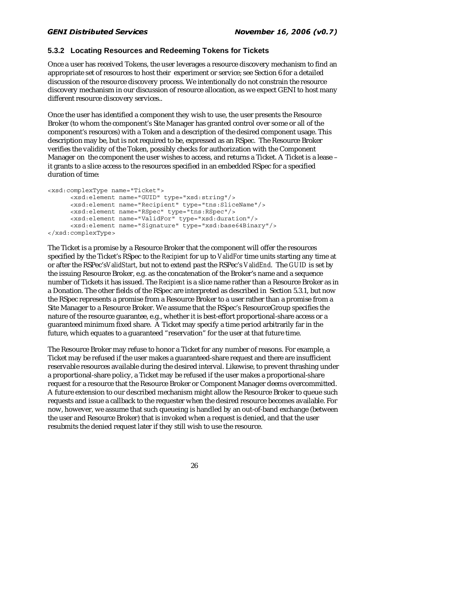### **5.3.2 Locating Resources and Redeeming Tokens for Tickets**

Once a user has received Tokens, the user leverages a resource discovery mechanism to find an appropriate set of resources to host their experiment or service; see Section 6 for a detailed discussion of the resource discovery process. We intentionally do not constrain the resource discovery mechanism in our discussion of resource allocation, as we expect GENI to host many different resource discovery services..

Once the user has identified a component they wish to use, the user presents the Resource Broker (to whom the component's Site Manager has granted control over some or all of the component's resources) with a Token and a description of the desired component usage. This description may be, but is not required to be, expressed as an RSpec. The Resource Broker verifies the validity of the Token, possibly checks for authorization with the Component Manager on the component the user wishes to access, and returns a Ticket. A Ticket is a lease – it grants to a slice access to the resources specified in an embedded RSpec for a specified duration of time:

```
<xsd:complexType name="Ticket"> 
       <xsd:element name="GUID" type="xsd:string"/> 
       <xsd:element name="Recipient" type="tns:SliceName"/> 
       <xsd:element name="RSpec" type="tns:RSpec"/> 
       <xsd:element name="ValidFor" type="xsd:duration"/> 
       <xsd:element name="Signature" type="xsd:base64Binary"/> 
</xsd:complexType>
```
The Ticket is a promise by a Resource Broker that the component will offer the resources specified by the Ticket's RSpec to the *Recipient* for up to *ValidFor* time units starting any time at or after the RSPec's*ValidStart*, but not to extend past the RSPec's *ValidEnd*. The *GUID* is set by the issuing Resource Broker, e.g. as the concatenation of the Broker's name and a sequence number of Tickets it has issued. The *Recipient* is a slice name rather than a Resource Broker as in a Donation. The other fields of the RSpec are interpreted as described in Section 5.3.1, but now the RSpec represents a promise from a Resource Broker to a user rather than a promise from a Site Manager to a Resource Broker. We assume that the RSpec's ResourceGroup specifies the nature of the resource guarantee, e.g., whether it is best-effort proportional-share access or a guaranteed minimum fixed share. A Ticket may specify a time period arbitrarily far in the future, which equates to a guaranteed "reservation" for the user at that future time.

The Resource Broker may refuse to honor a Ticket for any number of reasons. For example, a Ticket may be refused if the user makes a guaranteed-share request and there are insufficient reservable resources available during the desired interval. Likewise, to prevent thrashing under a proportional-share policy, a Ticket may be refused if the user makes a proportional-share request for a resource that the Resource Broker or Component Manager deems overcommitted. A future extension to our described mechanism might allow the Resource Broker to queue such requests and issue a callback to the requester when the desired resource becomes available. For now, however, we assume that such queueing is handled by an out-of-band exchange (between the user and Resource Broker) that is invoked when a request is denied, and that the user resubmits the denied request later if they still wish to use the resource.

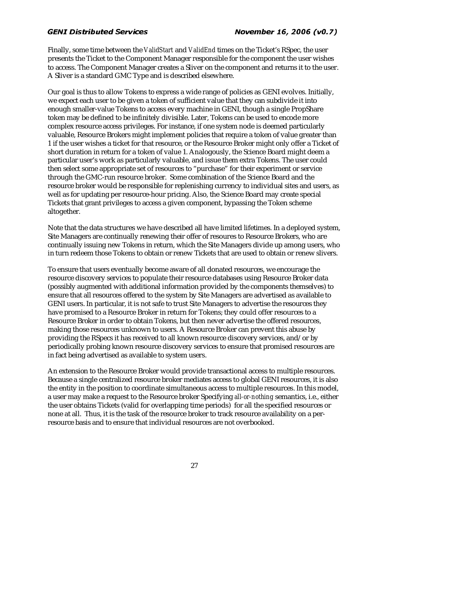Finally, some time between the *ValidStart* and *ValidEnd* times on the Ticket's RSpec, the user presents the Ticket to the Component Manager responsible for the component the user wishes to access. The Component Manager creates a Sliver on the component and returns it to the user. A Sliver is a standard GMC Type and is described elsewhere.

Our goal is thus to allow Tokens to express a wide range of policies as GENI evolves. Initially, we expect each user to be given a token of sufficient value that they can subdivide it into enough smaller-value Tokens to access every machine in GENI, though a single PropShare token may be defined to be infinitely divisible. Later, Tokens can be used to encode more complex resource access privileges. For instance, if one system node is deemed particularly valuable, Resource Brokers might implement policies that require a token of value greater than 1 if the user wishes a ticket for that resource, or the Resource Broker might only offer a Ticket of short duration in return for a token of value 1. Analogously, the Science Board might deem a particular user's work as particularly valuable, and issue them extra Tokens. The user could then select some appropriate set of resources to "purchase" for their experiment or service through the GMC-run resource broker. Some combination of the Science Board and the resource broker would be responsible for replenishing currency to individual sites and users, as well as for updating per resource-hour pricing. Also, the Science Board may create special Tickets that grant privileges to access a given component, bypassing the Token scheme altogether.

Note that the data structures we have described all have limited lifetimes. In a deployed system, Site Managers are continually renewing their offer of resoures to Resource Brokers, who are continually issuing new Tokens in return, which the Site Managers divide up among users, who in turn redeem those Tokens to obtain or renew Tickets that are used to obtain or renew slivers.

To ensure that users eventually become aware of all donated resources, we encourage the resource discovery services to populate their resource databases using Resource Broker data (possibly augmented with additional information provided by the components themselves) to ensure that all resources offered to the system by Site Managers are advertised as available to GENI users. In particular, it is not safe to trust Site Managers to advertise the resources they have promised to a Resource Broker in return for Tokens; they could offer resources to a Resource Broker in order to obtain Tokens, but then never advertise the offered resources, making those resources unknown to users. A Resource Broker can prevent this abuse by providing the RSpecs it has received to all known resource discovery services, and/or by periodically probing known resource discovery services to ensure that promised resources are in fact being advertised as available to system users.

An extension to the Resource Broker would provide transactional access to multiple resources. Because a single centralized resource broker mediates access to global GENI resources, it is also the entity in the position to coordinate simultaneous access to multiple resources. In this model, a user may make a request to the Resource broker Specifying *all-or-nothing* semantics, i.e., either the user obtains Tickets (valid for overlapping time periods) for all the specified resources or none at all. Thus, it is the task of the resource broker to track resource availability on a perresource basis and to ensure that individual resources are not overbooked.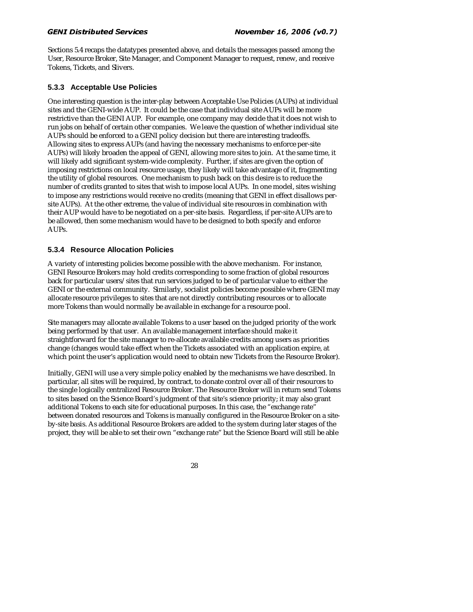Sections 5.4 recaps the datatypes presented above, and details the messages passed among the User, Resource Broker, Site Manager, and Component Manager to request, renew, and receive Tokens, Tickets, and Slivers.

### **5.3.3 Acceptable Use Policies**

One interesting question is the inter-play between Acceptable Use Policies (AUPs) at individual sites and the GENI-wide AUP. It could be the case that individual site AUPs will be more restrictive than the GENI AUP. For example, one company may decide that it does not wish to run jobs on behalf of certain other companies. We leave the question of whether individual site AUPs should be enforced to a GENI policy decision but there are interesting tradeoffs. Allowing sites to express AUPs (and having the necessary mechanisms to enforce per-site AUPs) will likely broaden the appeal of GENI, allowing more sites to join. At the same time, it will likely add significant system-wide complexity. Further, if sites are given the option of imposing restrictions on local resource usage, they likely will take advantage of it, fragmenting the utility of global resources. One mechanism to push back on this desire is to reduce the number of credits granted to sites that wish to impose local AUPs. In one model, sites wishing to impose any restrictions would receive no credits (meaning that GENI in effect disallows persite AUPs). At the other extreme, the value of individual site resources in combination with their AUP would have to be negotiated on a per-site basis. Regardless, if per-site AUPs are to be allowed, then some mechanism would have to be designed to both specify and enforce AUPs.

### **5.3.4 Resource Allocation Policies**

A variety of interesting policies become possible with the above mechanism. For instance, GENI Resource Brokers may hold credits corresponding to some fraction of global resources back for particular users/sites that run services judged to be of particular value to either the GENI or the external community. Similarly, socialist policies become possible where GENI may allocate resource privileges to sites that are not directly contributing resources or to allocate more Tokens than would normally be available in exchange for a resource pool.

Site managers may allocate available Tokens to a user based on the judged priority of the work being performed by that user. An available management interface should make it straightforward for the site manager to re-allocate available credits among users as priorities change (changes would take effect when the Tickets associated with an application expire, at which point the user's application would need to obtain new Tickets from the Resource Broker).

Initially, GENI will use a very simple policy enabled by the mechanisms we have described. In particular, all sites will be required, by contract, to donate control over all of their resources to the single logically centralized Resource Broker. The Resource Broker will in return send Tokens to sites based on the Science Board's judgment of that site's science priority; it may also grant additional Tokens to each site for educational purposes. In this case, the "exchange rate" between donated resources and Tokens is manually configured in the Resource Broker on a siteby-site basis. As additional Resource Brokers are added to the system during later stages of the project, they will be able to set their own "exchange rate" but the Science Board will still be able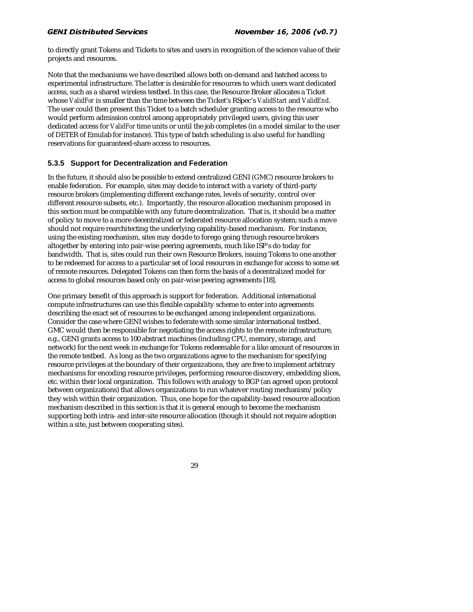to directly grant Tokens and Tickets to sites and users in recognition of the science value of their projects and resources.

Note that the mechanisms we have described allows both on-demand and batched access to experimental infrastructure. The latter is desirable for resources to which users want dedicated access, such as a shared wireless testbed. In this case, the Resource Broker allocates a Ticket whose *ValidFor* is smaller than the time between the Ticket's RSpec's *ValidStart* and *ValidEnd*. The user could then present this Ticket to a batch scheduler granting access to the resource who would perform admission control among appropriately privileged users, giving this user dedicated access for *ValidFor* time units or until the job completes (in a model similar to the user of DETER of Emulab for instance). This type of batch scheduling is also useful for handling reservations for guaranteed-share access to resources.

### **5.3.5 Support for Decentralization and Federation**

In the future, it should also be possible to extend centralized GENI (GMC) resource brokers to enable federation. For example, sites may decide to interact with a variety of third-party resource brokers (implementing different exchange rates, levels of security, control over different resource subsets, etc.). Importantly, the resource allocation mechanism proposed in this section must be compatible with any future decentralization. That is, it should be a matter of policy to move to a more decentralized or federated resource allocation system; such a move should not require rearchitecting the underlying capability-based mechanism. For instance, using the existing mechanism, sites may decide to forego going through resource brokers altogether by entering into pair-wise peering agreements, much like ISP's do today for bandwidth. That is, sites could run their own Resource Brokers, issuing Tokens to one another to be redeemed for access to a particular set of local resources in exchange for access to some set of remote resources. Delegated Tokens can then form the basis of a decentralized model for access to global resources based only on pair-wise peering agreements [18].

One primary benefit of this approach is support for federation. Additional international compute infrastructures can use this flexible capability scheme to enter into agreements describing the exact set of resources to be exchanged among independent organizations. Consider the case where GENI wishes to federate with some similar international testbed. GMC would then be responsible for negotiating the access rights to the remote infrastructure, e.g., GENI grants access to 100 abstract machines (including CPU, memory, storage, and network) for the next week in exchange for Tokens redeemable for a like amount of resources in the remote testbed. As long as the two organizations agree to the mechanism for specifying resource privileges at the boundary of their organizations, they are free to implement arbitrary mechanisms for encoding resource privileges, performing resource discovery, embedding slices, etc. within their local organization. This follows with analogy to BGP (an agreed upon protocol between organizations) that allows organizations to run whatever routing mechanism/policy they wish within their organization. Thus, one hope for the capability-based resource allocation mechanism described in this section is that it is general enough to become the mechanism supporting both intra- and inter-site resource allocation (though it should not require adoption within a site, just between cooperating sites).

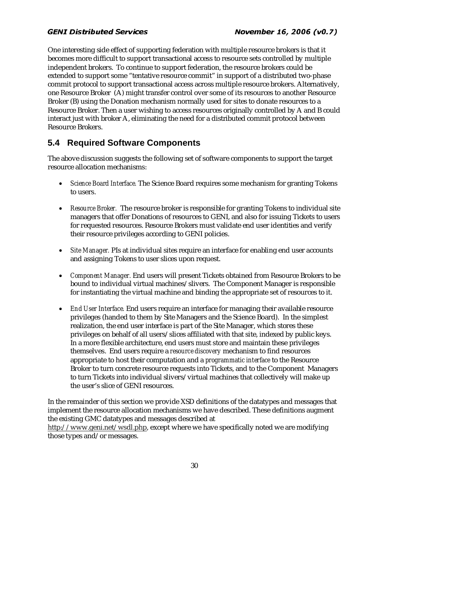One interesting side effect of supporting federation with multiple resource brokers is that it becomes more difficult to support transactional access to resource sets controlled by multiple independent brokers. To continue to support federation, the resource brokers could be extended to support some "tentative resource commit" in support of a distributed two-phase commit protocol to support transactional access across multiple resource brokers. Alternatively, one Resource Broker (A) might transfer control over some of its resources to another Resource Broker (B) using the Donation mechanism normally used for sites to donate resources to a Resource Broker. Then a user wishing to access resources originally controlled by A and B could interact just with broker A, eliminating the need for a distributed commit protocol between Resource Brokers.

## **5.4 Required Software Components**

The above discussion suggests the following set of software components to support the target resource allocation mechanisms:

- *Science Board Interface.* The Science Board requires some mechanism for granting Tokens to users.
- *Resource Broker.* The resource broker is responsible for granting Tokens to individual site managers that offer Donations of resources to GENI, and also for issuing Tickets to users for requested resources. Resource Brokers must validate end user identities and verify their resource privileges according to GENI policies.
- *Site Manager.* PIs at individual sites require an interface for enabling end user accounts and assigning Tokens to user slices upon request.
- *Component Manager.* End users will present Tickets obtained from Resource Brokers to be bound to individual virtual machines/slivers. The Component Manager is responsible for instantiating the virtual machine and binding the appropriate set of resources to it.
- *End User Interface.* End users require an interface for managing their available resource privileges (handed to them by Site Managers and the Science Board). In the simplest realization, the end user interface is part of the Site Manager, which stores these privileges on behalf of all users/slices affiliated with that site, indexed by public keys. In a more flexible architecture, end users must store and maintain these privileges themselves. End users require a *resource discovery* mechanism to find resources appropriate to host their computation and a *programmatic interface* to the Resource Broker to turn concrete resource requests into Tickets, and to the Component Managers to turn Tickets into individual slivers/virtual machines that collectively will make up the user's slice of GENI resources.

In the remainder of this section we provide XSD definitions of the datatypes and messages that implement the resource allocation mechanisms we have described. These definitions augment the existing GMC datatypes and messages described at

http://www.geni.net/wsdl.php, except where we have specifically noted we are modifying those types and/or messages.

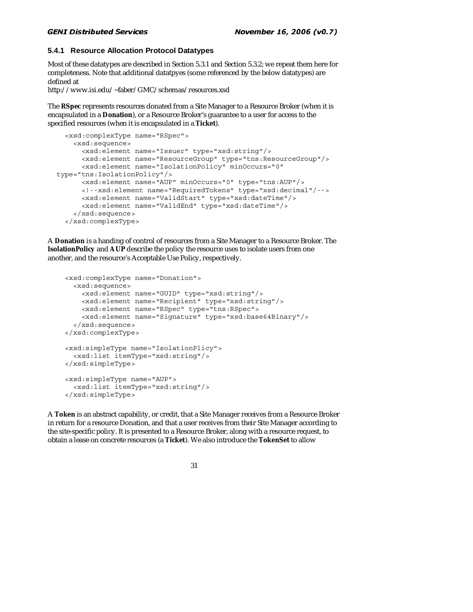### **5.4.1 Resource Allocation Protocol Datatypes**

Most of these datatypes are described in Section 5.3.1 and Section 5.3.2; we repeat them here for completeness. Note that additional datatpyes (some referenced by the below datatypes) are defined at

http://www.isi.edu/~faber/GMC/schemas/resources.xsd

The **RSpec** represents resources donated from a Site Manager to a Resource Broker (when it is encapsulated in a **Donation**), or a Resource Broker's guarantee to a user for access to the specified resources (when it is encapsulated in a **Ticket**).

```
 <xsd:complexType name="RSpec"> 
     <xsd:sequence> 
       <xsd:element name="Issuer" type="xsd:string"/> 
       <xsd:element name="ResourceGroup" type="tns:ResourceGroup"/> 
       <xsd:element name="IsolationPolicy" minOccurs="0" 
type="tns:IsolationPolicy"/> 
       <xsd:element name="AUP" minOccurs="0" type="tns:AUP"/> 
       <!--xsd:element name="RequiredTokens" type="xsd:decimal"/--> 
       <xsd:element name="ValidStart" type="xsd:dateTime"/> 
       <xsd:element name="ValidEnd" type="xsd:dateTime"/> 
     </xsd:sequence> 
  </xsd:complexType>
```
A **Donation** is a handing of control of resources from a Site Manager to a Resource Broker. The **IsolationPolicy** and **AUP** describe the policy the resource uses to isolate users from one another, and the resource's Acceptable Use Policy, respectively.

```
 <xsd:complexType name="Donation"> 
   <xsd:sequence> 
     <xsd:element name="GUID" type="xsd:string"/> 
     <xsd:element name="Recipient" type="xsd:string"/> 
     <xsd:element name="RSpec" type="tns:RSpec"> 
     <xsd:element name="Signature" type="xsd:base64Binary"/> 
   </xsd:sequence> 
 </xsd:complexType> 
 <xsd:simpleType name="IsolationPlicy"> 
   <xsd:list itemType="xsd:string"/> 
 </xsd:simpleType> 
 <xsd:simpleType name="AUP"> 
   <xsd:list itemType="xsd:string"/> 
 </xsd:simpleType>
```
A **Token** is an abstract capability, or credit, that a Site Manager receives from a Resource Broker in return for a resource Donation, and that a user receives from their Site Manager according to the site-specific policy. It is presented to a Resource Broker, along with a resource request, to obtain a lease on concrete resources (a **Ticket**). We also introduce the **TokenSet** to allow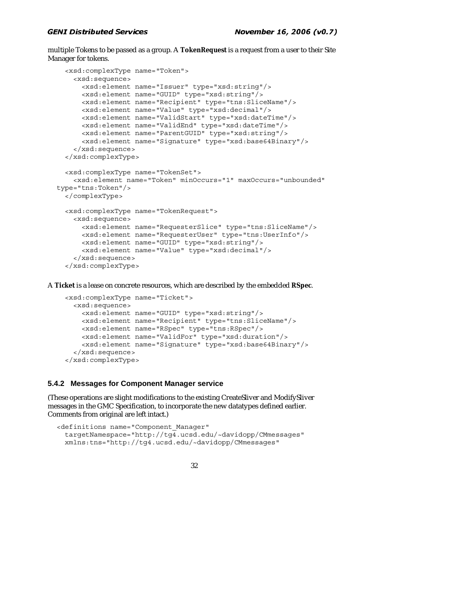multiple Tokens to be passed as a group. A **TokenRequest** is a request from a user to their Site Manager for tokens.

```
 <xsd:complexType name="Token"> 
     <xsd:sequence> 
       <xsd:element name="Issuer" type="xsd:string"/> 
       <xsd:element name="GUID" type="xsd:string"/> 
       <xsd:element name="Recipient" type="tns:SliceName"/> 
       <xsd:element name="Value" type="xsd:decimal"/> 
       <xsd:element name="ValidStart" type="xsd:dateTime"/> 
       <xsd:element name="ValidEnd" type="xsd:dateTime"/> 
       <xsd:element name="ParentGUID" type="xsd:string"/> 
       <xsd:element name="Signature" type="xsd:base64Binary"/> 
     </xsd:sequence> 
  </xsd:complexType> 
  <xsd:complexType name="TokenSet"> 
     <xsd:element name="Token" minOccurs="1" maxOccurs="unbounded" 
type="tns:Token"/> 
  </complexType> 
  <xsd:complexType name="TokenRequest"> 
     <xsd:sequence> 
       <xsd:element name="RequesterSlice" type="tns:SliceName"/> 
       <xsd:element name="RequesterUser" type="tns:UserInfo"/> 
       <xsd:element name="GUID" type="xsd:string"/> 
       <xsd:element name="Value" type="xsd:decimal"/> 
     </xsd:sequence> 
  </xsd:complexType>
```
A **Ticket** is a lease on concrete resources, which are described by the embedded **RSpec**.

```
 <xsd:complexType name="Ticket"> 
   <xsd:sequence> 
     <xsd:element name="GUID" type="xsd:string"/> 
     <xsd:element name="Recipient" type="tns:SliceName"/> 
     <xsd:element name="RSpec" type="tns:RSpec"/> 
     <xsd:element name="ValidFor" type="xsd:duration"/> 
     <xsd:element name="Signature" type="xsd:base64Binary"/> 
   </xsd:sequence> 
 </xsd:complexType>
```
### **5.4.2 Messages for Component Manager service**

(These operations are slight modifications to the existing CreateSliver and ModifySliver messages in the GMC Specification, to incorporate the new datatypes defined earlier. Comments from original are left intact.)

```
<definitions name="Component_Manager" 
  targetNamespace="http://tg4.ucsd.edu/~davidopp/CMmessages" 
  xmlns:tns="http://tg4.ucsd.edu/~davidopp/CMmessages"
```

```
 32
```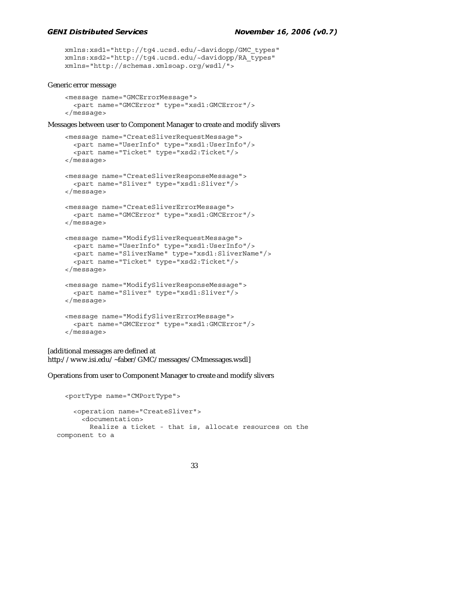```
 xmlns:xsd1="http://tg4.ucsd.edu/~davidopp/GMC_types" 
 xmlns:xsd2="http://tg4.ucsd.edu/~davidopp/RA_types" 
 xmlns="http://schemas.xmlsoap.org/wsdl/">
```
### Generic error message

```
 <message name="GMCErrorMessage"> 
   <part name="GMCError" type="xsd1:GMCError"/> 
 </message>
```
Messages between user to Component Manager to create and modify slivers

```
 <message name="CreateSliverRequestMessage"> 
   <part name="UserInfo" type="xsd1:UserInfo"/> 
   <part name="Ticket" type="xsd2:Ticket"/> 
 </message> 
 <message name="CreateSliverResponseMessage"> 
   <part name="Sliver" type="xsd1:Sliver"/> 
 </message> 
 <message name="CreateSliverErrorMessage"> 
   <part name="GMCError" type="xsd1:GMCError"/> 
 </message> 
 <message name="ModifySliverRequestMessage"> 
   <part name="UserInfo" type="xsd1:UserInfo"/> 
   <part name="SliverName" type="xsd1:SliverName"/> 
   <part name="Ticket" type="xsd2:Ticket"/> 
 </message> 
 <message name="ModifySliverResponseMessage"> 
   <part name="Sliver" type="xsd1:Sliver"/> 
 </message> 
 <message name="ModifySliverErrorMessage"> 
   <part name="GMCError" type="xsd1:GMCError"/> 
 </message>
```
[additional messages are defined at http://www.isi.edu/~faber/GMC/messages/CMmessages.wsdl]

Operations from user to Component Manager to create and modify slivers

```
 <portType name="CMPortType"> 
     <operation name="CreateSliver"> 
       <documentation> 
         Realize a ticket - that is, allocate resources on the 
component to a
```

```
 33
```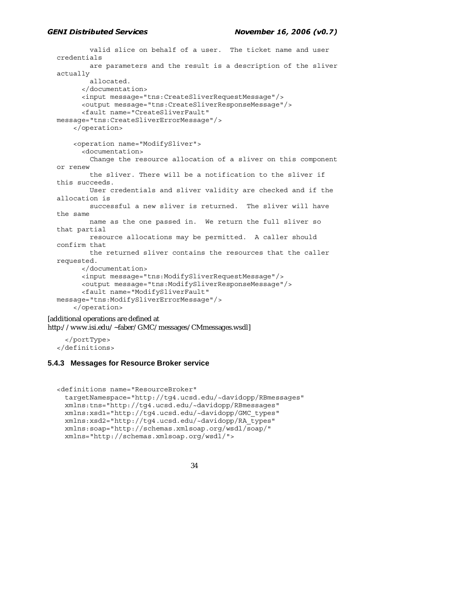#### $\sum_{i=1}^{n}$ palla Scr

```
 valid slice on behalf of a user. The ticket name and user 
  credentials 
           are parameters and the result is a description of the sliver 
  actually 
            allocated. 
          </documentation> 
         <input message="tns:CreateSliverRequestMessage"/> 
          <output message="tns:CreateSliverResponseMessage"/> 
         <fault name="CreateSliverFault" 
  message="tns:CreateSliverErrorMessage"/> 
       </operation> 
       <operation name="ModifySliver"> 
          <documentation> 
           Change the resource allocation of a sliver on this component 
  or renew 
           the sliver. There will be a notification to the sliver if 
  this succeeds. 
           User credentials and sliver validity are checked and if the 
  allocation is 
           successful a new sliver is returned. The sliver will have 
  the same 
           name as the one passed in. We return the full sliver so 
  that partial 
           resource allocations may be permitted. A caller should 
  confirm that 
           the returned sliver contains the resources that the caller 
  requested. 
          </documentation> 
          <input message="tns:ModifySliverRequestMessage"/> 
         <output message="tns:ModifySliverResponseMessage"/> 
         <fault name="ModifySliverFault" 
  message="tns:ModifySliverErrorMessage"/> 
       </operation> 
[additional operations are defined at 
http://www.isi.edu/~faber/GMC/messages/CMmessages.wsdl]
```
 </portType> </definitions>

### **5.4.3 Messages for Resource Broker service**

```
<definitions name="ResourceBroker" 
  targetNamespace="http://tg4.ucsd.edu/~davidopp/RBmessages" 
  xmlns:tns="http://tg4.ucsd.edu/~davidopp/RBmessages" 
  xmlns:xsd1="http://tg4.ucsd.edu/~davidopp/GMC_types" 
  xmlns:xsd2="http://tg4.ucsd.edu/~davidopp/RA_types" 
  xmlns:soap="http://schemas.xmlsoap.org/wsdl/soap/" 
  xmlns="http://schemas.xmlsoap.org/wsdl/">
```

```
 34
```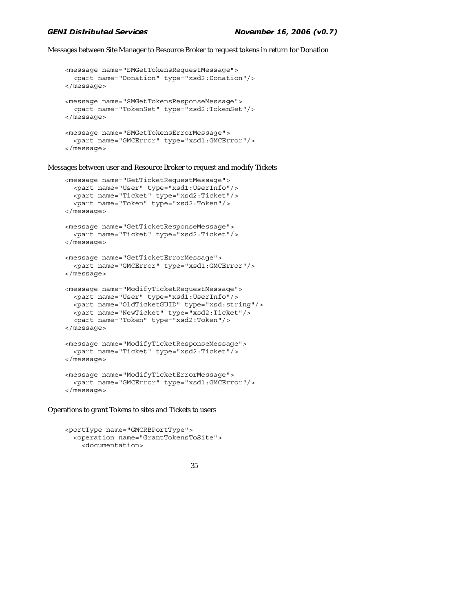#### $\sum_{i=1}^{n}$ palla Scr

Messages between Site Manager to Resource Broker to request tokens in return for Donation

```
 <message name="SMGetTokensRequestMessage"> 
   <part name="Donation" type="xsd2:Donation"/> 
 </message> 
 <message name="SMGetTokensResponseMessage"> 
   <part name="TokenSet" type="xsd2:TokenSet"/> 
 </message> 
 <message name="SMGetTokensErrorMessage"> 
   <part name="GMCError" type="xsd1:GMCError"/> 
 </message>
```
Messages between user and Resource Broker to request and modify Tickets

```
 <message name="GetTicketRequestMessage"> 
   <part name="User" type="xsd1:UserInfo"/> 
   <part name="Ticket" type="xsd2:Ticket"/> 
   <part name="Token" type="xsd2:Token"/> 
 </message> 
 <message name="GetTicketResponseMessage"> 
   <part name="Ticket" type="xsd2:Ticket"/> 
 </message> 
 <message name="GetTicketErrorMessage"> 
   <part name="GMCError" type="xsd1:GMCError"/> 
 </message> 
 <message name="ModifyTicketRequestMessage"> 
   <part name="User" type="xsd1:UserInfo"/> 
   <part name="OldTicketGUID" type="xsd:string"/> 
   <part name="NewTicket" type="xsd2:Ticket"/> 
   <part name="Token" type="xsd2:Token"/> 
 </message> 
 <message name="ModifyTicketResponseMessage"> 
   <part name="Ticket" type="xsd2:Ticket"/> 
 </message> 
 <message name="ModifyTicketErrorMessage"> 
   <part name="GMCError" type="xsd1:GMCError"/> 
 </message>
```
Operations to grant Tokens to sites and Tickets to users

```
 <portType name="GMCRBPortType"> 
   <operation name="GrantTokensToSite"> 
     <documentation>
```

```
 35
```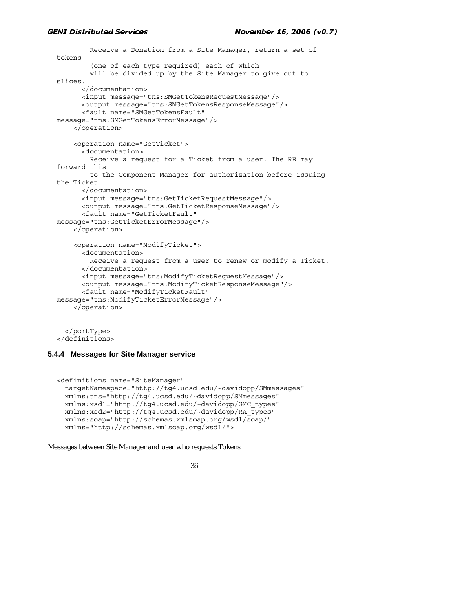```
 Receive a Donation from a Site Manager, return a set of 
tokens 
         (one of each type required) each of which 
         will be divided up by the Site Manager to give out to 
slices. 
       </documentation> 
       <input message="tns:SMGetTokensRequestMessage"/> 
       <output message="tns:SMGetTokensResponseMessage"/> 
       <fault name="SMGetTokensFault" 
message="tns:SMGetTokensErrorMessage"/> 
     </operation> 
     <operation name="GetTicket"> 
       <documentation> 
         Receive a request for a Ticket from a user. The RB may 
forward this 
         to the Component Manager for authorization before issuing 
the Ticket. 
       </documentation> 
       <input message="tns:GetTicketRequestMessage"/> 
       <output message="tns:GetTicketResponseMessage"/> 
       <fault name="GetTicketFault" 
message="tns:GetTicketErrorMessage"/> 
     </operation> 
     <operation name="ModifyTicket"> 
       <documentation> 
         Receive a request from a user to renew or modify a Ticket. 
       </documentation> 
       <input message="tns:ModifyTicketRequestMessage"/> 
       <output message="tns:ModifyTicketResponseMessage"/> 
       <fault name="ModifyTicketFault" 
message="tns:ModifyTicketErrorMessage"/> 
     </operation> 
   </portType>
```
</definitions>

### **5.4.4 Messages for Site Manager service**

```
<definitions name="SiteManager" 
  targetNamespace="http://tg4.ucsd.edu/~davidopp/SMmessages" 
  xmlns:tns="http://tg4.ucsd.edu/~davidopp/SMmessages" 
  xmlns:xsd1="http://tg4.ucsd.edu/~davidopp/GMC_types" 
  xmlns:xsd2="http://tg4.ucsd.edu/~davidopp/RA_types" 
  xmlns:soap="http://schemas.xmlsoap.org/wsdl/soap/" 
  xmlns="http://schemas.xmlsoap.org/wsdl/">
```
Messages between Site Manager and user who requests Tokens

```
 36
```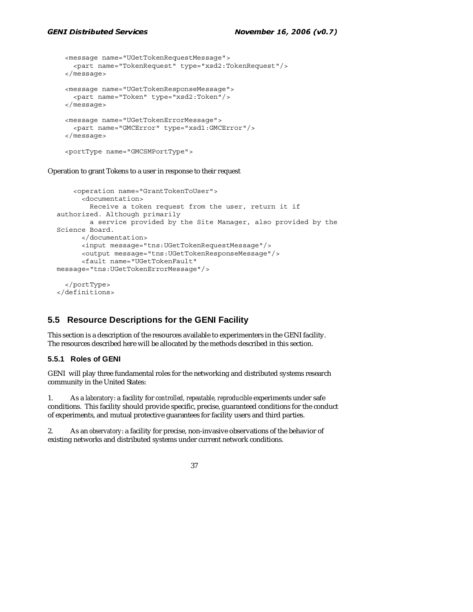```
 <message name="UGetTokenRequestMessage"> 
   <part name="TokenRequest" type="xsd2:TokenRequest"/> 
 </message> 
 <message name="UGetTokenResponseMessage"> 
   <part name="Token" type="xsd2:Token"/> 
 </message> 
 <message name="UGetTokenErrorMessage"> 
   <part name="GMCError" type="xsd1:GMCError"/> 
 </message>
```
<portType name="GMCSMPortType">

Operation to grant Tokens to a user in response to their request

```
 <operation name="GrantTokenToUser"> 
       <documentation> 
         Receive a token request from the user, return it if 
authorized. Although primarily 
         a service provided by the Site Manager, also provided by the 
Science Board. 
       </documentation> 
       <input message="tns:UGetTokenRequestMessage"/> 
       <output message="tns:UGetTokenResponseMessage"/> 
       <fault name="UGetTokenFault" 
message="tns:UGetTokenErrorMessage"/> 
   </portType>
```
</definitions>

## **5.5 Resource Descriptions for the GENI Facility**

This section is a description of the resources available to experimenters in the GENI facility. The resources described here will be allocated by the methods described in this section.

### **5.5.1 Roles of GENI**

GENI will play three fundamental roles for the networking and distributed systems research community in the United States:

1. As a *laboratory*: a facility for *controlled, repeatable, reproducible* experiments under safe conditions. This facility should provide specific, precise, guaranteed conditions for the conduct of experiments, and mutual protective guarantees for facility users and third parties.

2. As an *observatory*: a facility for precise, non-invasive observations of the behavior of existing networks and distributed systems under current network conditions.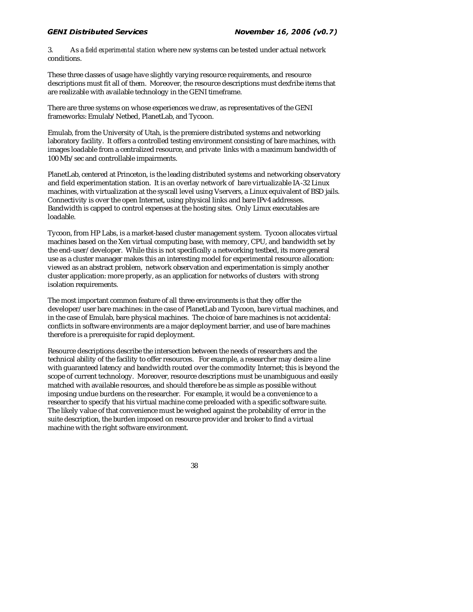3. As a *field experimental station* where new systems can be tested under actual network conditions.

These three classes of usage have slightly varying resource requirements, and resource descriptions must fit all of them. Moreover, the resource descriptions must dexfribe items that are realizable with available technology in the GENI timeframe.

There are three systems on whose experiences we draw, as representatives of the GENI frameworks: Emulab/Netbed, PlanetLab, and Tycoon.

Emulab, from the University of Utah, is the premiere distributed systems and networking laboratory facility. It offers a controlled testing environment consisting of bare machines, with images loadable from a centralized resource, and private links with a maximum bandwidth of 100 Mb/sec and controllable impairments.

PlanetLab, centered at Princeton, is the leading distributed systems and networking observatory and field experimentation station. It is an overlay network of bare virtualizable IA-32 Linux machines, with virtualization at the syscall level using Vservers, a Linux equivalent of BSD jails. Connectivity is over the open Internet, using physical links and bare IPv4 addresses. Bandwidth is capped to control expenses at the hosting sites. Only Linux executables are loadable.

Tycoon, from HP Labs, is a market-based cluster management system. Tycoon allocates virtual machines based on the Xen virtual computing base, with memory, CPU, and bandwidth set by the end-user/developer. While this is not specifically a networking testbed, its more general use as a cluster manager makes this an interesting model for experimental resource allocation: viewed as an abstract problem, network observation and experimentation is simply another cluster application: more properly, as an application for networks of clusters with strong isolation requirements.

The most important common feature of all three environments is that they offer the developer/user bare machines: in the case of PlanetLab and Tycoon, bare virtual machines, and in the case of Emulab, bare physical machines. The choice of bare machines is not accidental: conflicts in software environments are a major deployment barrier, and use of bare machines therefore is a prerequisite for rapid deployment.

Resource descriptions describe the intersection between the needs of researchers and the technical ability of the facility to offer resources. For example, a researcher may desire a line with guaranteed latency and bandwidth routed over the commodity Internet; this is beyond the scope of current technology. Moreover, resource descriptions must be unambiguous and easily matched with available resources, and should therefore be as simple as possible without imposing undue burdens on the researcher. For example, it would be a convenience to a researcher to specify that his virtual machine come preloaded with a specific software suite. The likely value of that convenience must be weighed against the probability of error in the suite description, the burden imposed on resource provider and broker to find a virtual machine with the right software environment.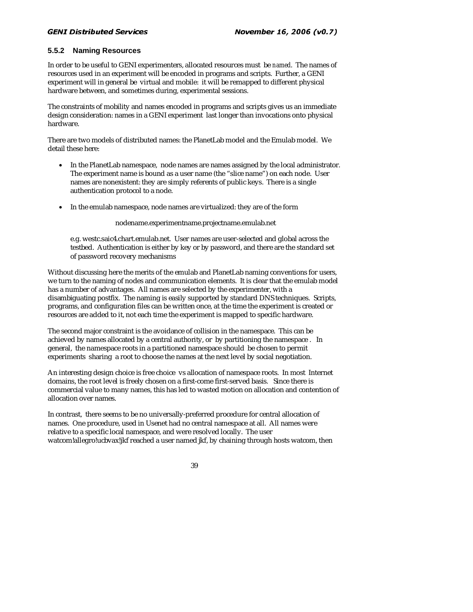### **5.5.2 Naming Resources**

In order to be useful to GENI experimenters, allocated resources must be *named*. The names of resources used in an experiment will be encoded in programs and scripts. Further, a GENI experiment will in general be virtual and mobile: it will be remapped to different physical hardware between, and sometimes during, experimental sessions.

The constraints of mobility and names encoded in programs and scripts gives us an immediate design consideration: names in a GENI experiment last longer than invocations onto physical hardware.

There are two models of distributed names: the PlanetLab model and the Emulab model. We detail these here:

- In the PlanetLab namespace, node names are names assigned by the local administrator. The experiment name is bound as a user name (the "slice name") on each node. User names are nonexistent: they are simply referents of public keys. There is a single authentication protocol to a node.
- In the emulab namespace, node names are virtualized: they are of the form

nodename.experimentname.projectname.emulab.net

e.g. westc.saic4.chart.emulab.net. User names are user-selected and global across the testbed. Authentication is either by key or by password, and there are the standard set of password recovery mechanisms

Without discussing here the merits of the emulab and PlanetLab naming conventions for users, we turn to the naming of nodes and communication elements. It is clear that the emulab model has a number of advantages. All names are selected by the experimenter, with a disambiguating postfix. The naming is easily supported by standard DNS techniques. Scripts, programs, and configuration files can be written once, at the time the experiment is created or resources are added to it, not each time the experiment is mapped to specific hardware.

The second major constraint is the avoidance of collision in the namespace. This can be achieved by names allocated by a central authority, or by partitioning the namespace . In general, the namespace roots in a partitioned namespace should be chosen to permit experiments sharing a root to choose the names at the next level by social negotiation.

An interesting design choice is free choice vs allocation of namespace roots. In most Internet domains, the root level is freely chosen on a first-come first-served basis. Since there is commercial value to many names, this has led to wasted motion on allocation and contention of allocation over names.

In contrast, there seems to be no universally-preferred procedure for central allocation of names. One procedure, used in Usenet had no central namespace at all. All names were relative to a specific local namespace, and were resolved locally. The user watcom!allegro!ucbvax!jkf reached a user named jkf, by chaining through hosts watcom, then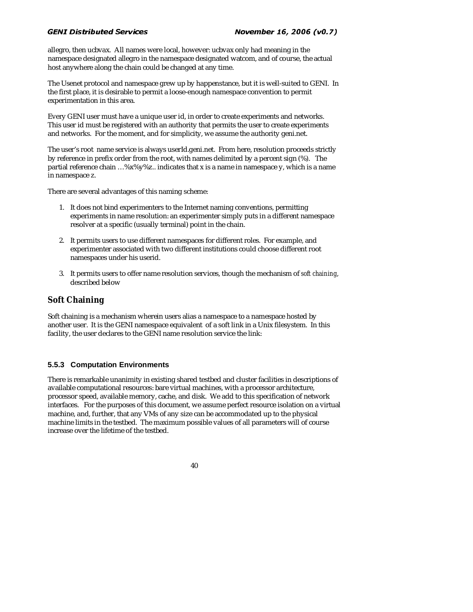#### $\sum_{i=1}^{n}$ palla Scr

allegro, then ucbvax. All names were local, however: ucbvax only had meaning in the namespace designated allegro in the namespace designated watcom, and of course, the actual host anywhere along the chain could be changed at any time.

The Usenet protocol and namespace grew up by happenstance, but it is well-suited to GENI. In the first place, it is desirable to permit a loose-enough namespace convention to permit experimentation in this area.

Every GENI user must have a unique user id, in order to create experiments and networks. This user id must be registered with an authority that permits the user to create experiments and networks. For the moment, and for simplicity, we assume the authority geni.net.

The user's root name service is always userId.geni.net. From here, resolution proceeds strictly by reference in prefix order from the root, with names delimited by a percent sign (%). The partial reference chain …%x%y%z.. indicates that x is a name in namespace y, which is a name in namespace z.

There are several advantages of this naming scheme:

- 1. It does not bind experimenters to the Internet naming conventions, permitting experiments in name resolution: an experimenter simply puts in a different namespace resolver at a specific (usually terminal) point in the chain.
- 2. It permits users to use different namespaces for different roles. For example, and experimenter associated with two different institutions could choose different root namespaces under his userid.
- 3. It permits users to offer name resolution services, though the mechanism of *soft chaining*, described below

### **Soft Chaining**

Soft chaining is a mechanism wherein users alias a namespace to a namespace hosted by another user. It is the GENI namespace equivalent of a soft link in a Unix filesystem. In this facility, the user declares to the GENI name resolution service the link:

### **5.5.3 Computation Environments**

There is remarkable unanimity in existing shared testbed and cluster facilities in descriptions of available computational resources: bare virtual machines, with a processor architecture, processor speed, available memory, cache, and disk. We add to this specification of network interfaces. For the purposes of this document, we assume perfect resource isolation on a virtual machine, and, further, that any VMs of any size can be accommodated up to the physical machine limits in the testbed. The maximum possible values of all parameters will of course increase over the lifetime of the testbed.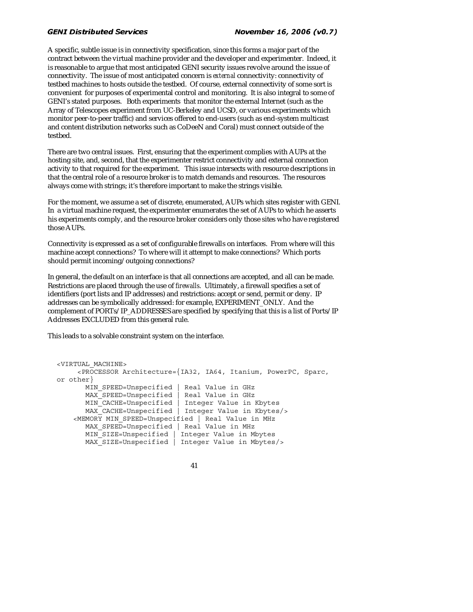#### $\sum_{i=1}^{n}$ palla Scr

A specific, subtle issue is in connectivity specification, since this forms a major part of the contract between the virtual machine provider and the developer and experimenter. Indeed, it is reasonable to argue that most anticipated GENI security issues revolve around the issue of connectivity. The issue of most anticipated concern is *external* connectivity: connectivity of testbed machines to hosts outside the testbed. Of course, external connectivity of some sort is convenient for purposes of experimental control and monitoring. It is also integral to some of GENI's stated purposes. Both experiments that monitor the external Internet (such as the Array of Telescopes experiment from UC-Berkeley and UCSD, or various experiments which monitor peer-to-peer traffic) and services offered to end-users (such as end-system multicast and content distribution networks such as CoDeeN and Coral) must connect outside of the testbed.

There are two central issues. First, ensuring that the experiment complies with AUPs at the hosting site, and, second, that the experimenter restrict connectivity and external connection activity to that required for the experiment. This issue intersects with resource descriptions in that the central role of a resource broker is to match demands and resources. The resources always come with strings; it's therefore important to make the strings visible.

For the moment, we assume a set of discrete, enumerated, AUPs which sites register with GENI. In a virtual machine request, the experimenter enumerates the set of AUPs to which he asserts his experiments comply, and the resource broker considers only those sites who have registered those AUPs.

Connectivity is expressed as a set of configurable firewalls on interfaces. From where will this machine accept connections? To where will it attempt to make connections? Which ports should permit incoming/outgoing connections?

In general, the default on an interface is that all connections are accepted, and all can be made. Restrictions are placed through the use of *firewalls*. Ultimately, a firewall specifies a set of identifiers (port lists and IP addresses) and restrictions: accept or send, permit or deny. IP addresses can be symbolically addressed: for example, EXPERIMENT\_ONLY. And the complement of PORTs/IP\_ADDRESSES are specified by specifying that this is a list of Ports/IP Addresses EXCLUDED from this general rule.

This leads to a solvable constraint system on the interface.

```
<VIRTUAL_MACHINE> 
      <PROCESSOR Architecture={IA32, IA64, Itanium, PowerPC, Sparc, 
or other} 
       MIN SPEED=Unspecified | Real Value in GHz
       MAX SPEED=Unspecified | Real Value in GHz
        MIN_CACHE=Unspecified | Integer Value in Kbytes 
       MAX CACHE=Unspecified | Integer Value in Kbytes/>
    \overline{\text{v}} MIN SPEED=Unspecified | Real Value in MHz
       MAX SPEED=Unspecified | Real Value in MHz
       MIN SIZE=Unspecified | Integer Value in Mbytes
        MAX_SIZE=Unspecified | Integer Value in Mbytes/>
```

```
 41
```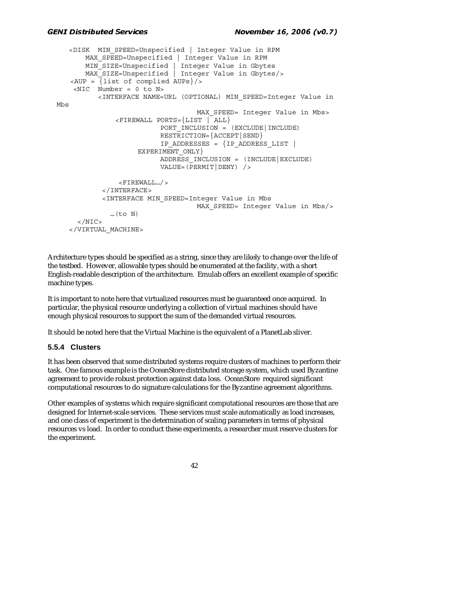```
 <DISK MIN_SPEED=Unspecified | Integer Value in RPM 
       MAX SPEED=Unspecified | Integer Value in RPM
 MIN_SIZE=Unspecified | Integer Value in Gbytes 
 MAX_SIZE=Unspecified | Integer Value in Gbytes/> 
   \langle AUP = \{list \text{ of compiled AUPs}\}\rangle\angleNIC Number = 0 to N>
           <INTERFACE NAME=URL (OPTIONAL) MIN_SPEED=Integer Value in 
Mbs 
                                    MAX SPEED= Integer Value in Mbs>
                <FIREWALL PORTS={LIST | ALL} 
                          PORT_INCLUSION = (EXCLUDE|INCLUDE)
                          RESTRICTION={ACCEPT|SEND} 
                          IP_ADDRESSES = {IP_ADDRESS_LIST | 
                    EXPERIMENT_ONLY }
                          ADDRESS_INCLUSION = (INCLUDE|EXCLUDE) 
                          VALUE=(PERMIT|DENY) /> 
                 <FIREWALL…/> 
            </INTERFACE> 
            <INTERFACE MIN_SPEED=Integer Value in Mbs 
                                    MAX SPEED= Integer Value in Mbs/>
              ...(to N)</NIC </VIRTUAL_MACHINE>
```
Architecture types should be specified as a string, since they are likely to change over the life of the testbed. However, allowable types should be enumerated at the facility, with a short English-readable description of the architecture. Emulab offers an excellent example of specific machine types.

It is important to note here that virtualized resources must be guaranteed once acquired. In particular, the physical resource underlying a collection of virtual machines should have enough physical resources to support the sum of the demanded virtual resources.

It should be noted here that the Virtual Machine is the equivalent of a PlanetLab sliver.

### **5.5.4 Clusters**

It has been observed that some distributed systems require clusters of machines to perform their task. One famous example is the OceanStore distributed storage system, which used Byzantine agreement to provide robust protection against data loss. OceanStore required significant computational resources to do signature calculations for the Byzantine agreement algorithms.

Other examples of systems which require significant computational resources are those that are designed for Internet-scale services. These services must scale automatically as load increases, and one class of experiment is the determination of scaling parameters in terms of physical resources vs load. In order to conduct these experiments, a researcher must reserve clusters for the experiment.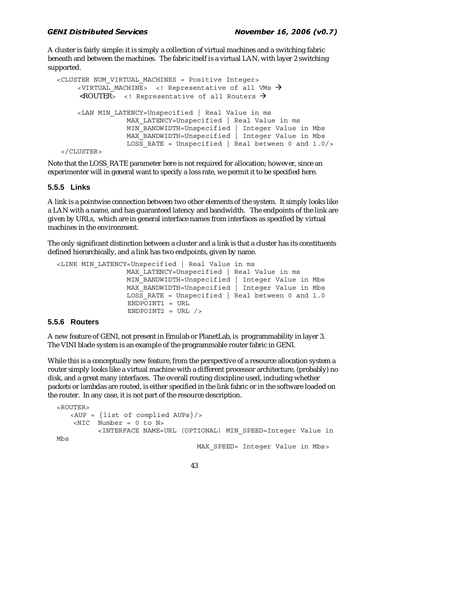A cluster is fairly simple: it is simply a collection of virtual machines and a switching fabric beneath and between the machines. The fabric itself is a virtual LAN, with layer 2 switching supported.

```
<CLUSTER NUM_VIRTUAL_MACHINES = Positive Integer> 
     <VIRTUAL MACHINE> <! Representative of all VMs \rightarrow\langle \text{ROUTER} \rangle <! Representative of all Routers \rightarrow <LAN MIN_LATENCY=Unspecified | Real Value in ms 
                  MAX LATENCY=Unspecified | Real Value in ms
                  MIN BANDWIDTH=Unspecified | Integer Value in Mbs
                   MAX_BANDWIDTH=Unspecified | Integer Value in Mbs 
                  LOSS RATE = Unspecified | Real between 0 and 1.0/>
```

```
 </CLUSTER>
```
Note that the LOSS\_RATE parameter here is not required for allocation; however, since an experimenter will in general want to specify a loss rate, we permit it to be specified here.

### **5.5.5 Links**

A link is a pointwise connection between two other elements of the system. It simply looks like a LAN with a name, and has guaranteed latency and bandwidth. The endpoints of the link are given by URLs, which are in general interface names from interfaces as specified by virtual machines in the environment.

The only significant distinction between a cluster and a link is that a cluster has its constituents defined hierarchically, and a link has two endpoints, given by name.

```
<LINK MIN_LATENCY=Unspecified | Real Value in ms 
                MAX LATENCY=Unspecified | Real Value in ms
                MIN_BANDWIDTH=Unspecified | Integer Value in Mbs
                MAX BANDWIDTH=Unspecified | Integer Value in Mbs
                LOSS RATE = Unspecified | Real between 0 and 1.0
                  ENDPOINT1 = URL 
                 ENDPOINT2 = URL /
```
### **5.5.6 Routers**

A new feature of GENI, not present in Emulab or PlanetLab, is programmability in layer 3. The VINI blade system is an example of the programmable router fabric in GENI.

While this is a conceptually new feature, from the perspective of a resource allocation system a router simply looks like a virtual machine with a different processor architecture, (probably) no disk, and a great many interfaces. The overall routing discipline used, including whether packets or lambdas are routed, is either specified in the link fabric or in the software loaded on the router. In any case, it is not part of the resource description.

```
<ROUTER> 
    <AUP = {list of complied AUPs}/> 
    \langleNIC Number = 0 to N>
           <INTERFACE NAME=URL (OPTIONAL) MIN_SPEED=Integer Value in 
Mbs 
                                     MAX SPEED= Integer Value in Mbs>
```

```
 43
```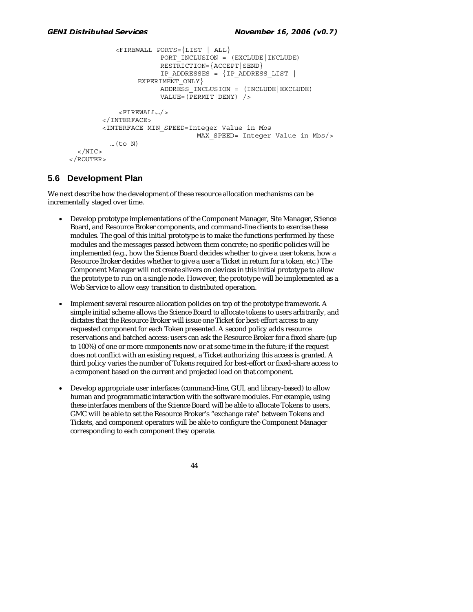```
 <FIREWALL PORTS={LIST | ALL} 
                       PORT INCLUSION = (EXCLUDE|INCLUDE)
                       RESTRICTION={ACCEPT|SEND} 
                       IP_ADDRESSES = {IP_ADDRESS_LIST | 
                 EXPERIMENT_ONLY}
                       ADDRESS_INCLUSION = (INCLUDE|EXCLUDE) 
                       VALUE=(PERMIT|DENY) /> 
             <FIREWALL…/> 
         </INTERFACE> 
         <INTERFACE MIN_SPEED=Integer Value in Mbs 
                                MAX SPEED= Integer Value in Mbs/>
           …(to N) 
  </NIC </ROUTER>
```
### **5.6 Development Plan**

We next describe how the development of these resource allocation mechanisms can be incrementally staged over time.

- Develop prototype implementations of the Component Manager, Site Manager, Science Board, and Resource Broker components, and command-line clients to exercise these modules. The goal of this initial prototype is to make the functions performed by these modules and the messages passed between them concrete; no specific policies will be implemented (e.g., how the Science Board decides whether to give a user tokens, how a Resource Broker decides whether to give a user a Ticket in return for a token, etc.) The Component Manager will not create slivers on devices in this initial prototype to allow the prototype to run on a single node. However, the prototype will be implemented as a Web Service to allow easy transition to distributed operation.
- Implement several resource allocation policies on top of the prototype framework. A simple initial scheme allows the Science Board to allocate tokens to users arbitrarily, and dictates that the Resource Broker will issue one Ticket for best-effort access to any requested component for each Token presented. A second policy adds resource reservations and batched access: users can ask the Resource Broker for a fixed share (up to 100%) of one or more components now or at some time in the future; if the request does not conflict with an existing request, a Ticket authorizing this access is granted. A third policy varies the number of Tokens required for best-effort or fixed-share access to a component based on the current and projected load on that component.
- Develop appropriate user interfaces (command-line, GUI, and library-based) to allow human and programmatic interaction with the software modules. For example, using these interfaces members of the Science Board will be able to allocate Tokens to users, GMC will be able to set the Resource Broker's "exchange rate" between Tokens and Tickets, and component operators will be able to configure the Component Manager corresponding to each component they operate.

```
 44
```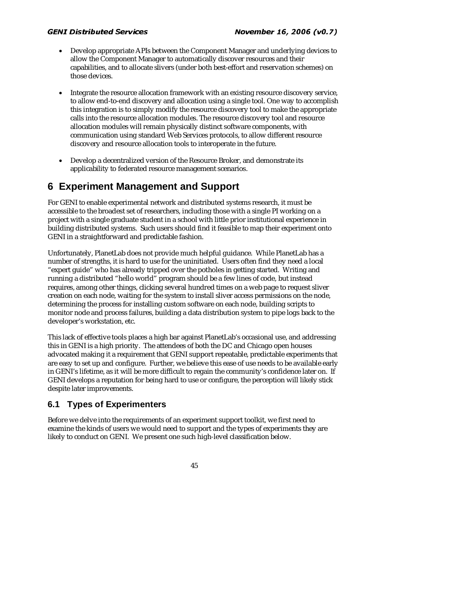- Develop appropriate APIs between the Component Manager and underlying devices to allow the Component Manager to automatically discover resources and their capabilities, and to allocate slivers (under both best-effort and reservation schemes) on those devices.
- Integrate the resource allocation framework with an existing resource discovery service, to allow end-to-end discovery and allocation using a single tool. One way to accomplish this integration is to simply modify the resource discovery tool to make the appropriate calls into the resource allocation modules. The resource discovery tool and resource allocation modules will remain physically distinct software components, with communication using standard Web Services protocols, to allow different resource discovery and resource allocation tools to interoperate in the future.
- Develop a decentralized version of the Resource Broker, and demonstrate its applicability to federated resource management scenarios.

## **6 Experiment Management and Support**

For GENI to enable experimental network and distributed systems research, it must be accessible to the broadest set of researchers, including those with a single PI working on a project with a single graduate student in a school with little prior institutional experience in building distributed systems. Such users should find it feasible to map their experiment onto GENI in a straightforward and predictable fashion.

Unfortunately, PlanetLab does not provide much helpful guidance. While PlanetLab has a number of strengths, it is hard to use for the uninitiated. Users often find they need a local "expert guide" who has already tripped over the potholes in getting started. Writing and running a distributed "hello world" program should be a few lines of code, but instead requires, among other things, clicking several hundred times on a web page to request sliver creation on each node, waiting for the system to install sliver access permissions on the node, determining the process for installing custom software on each node, building scripts to monitor node and process failures, building a data distribution system to pipe logs back to the developer's workstation, etc.

This lack of effective tools places a high bar against PlanetLab's occasional use, and addressing this in GENI is a high priority. The attendees of both the DC and Chicago open houses advocated making it a requirement that GENI support repeatable, predictable experiments that are easy to set up and configure. Further, we believe this ease of use needs to be available early in GENI's lifetime, as it will be more difficult to regain the community's confidence later on. If GENI develops a reputation for being hard to use or configure, the perception will likely stick despite later improvements.

## **6.1 Types of Experimenters**

Before we delve into the requirements of an experiment support toolkit, we first need to examine the kinds of users we would need to support and the types of experiments they are likely to conduct on GENI. We present one such high-level classification below.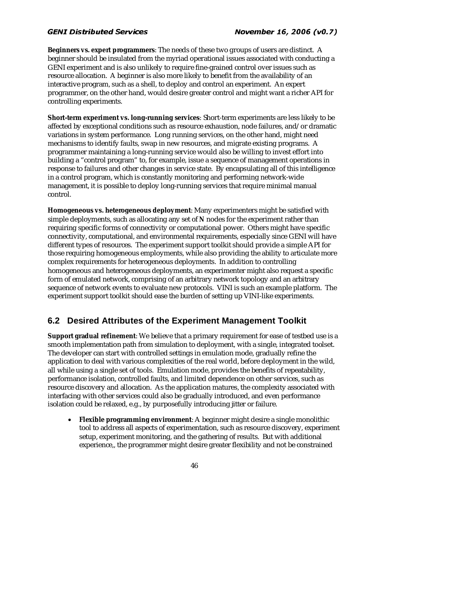**Beginners vs. expert programmers**: The needs of these two groups of users are distinct. A beginner should be insulated from the myriad operational issues associated with conducting a GENI experiment and is also unlikely to require fine-grained control over issues such as resource allocation. A beginner is also more likely to benefit from the availability of an interactive program, such as a shell, to deploy and control an experiment. An expert programmer, on the other hand, would desire greater control and might want a richer API for controlling experiments.

**Short-term experiment vs. long-running services**: Short-term experiments are less likely to be affected by exceptional conditions such as resource exhaustion, node failures, and/or dramatic variations in system performance. Long running services, on the other hand, might need mechanisms to identify faults, swap in new resources, and migrate existing programs. A programmer maintaining a long-running service would also be willing to invest effort into building a "control program" to, for example, issue a sequence of management operations in response to failures and other changes in service state. By encapsulating all of this intelligence in a control program, which is constantly monitoring and performing network-wide management, it is possible to deploy long-running services that require minimal manual control.

**Homogeneous vs. heterogeneous deployment**: Many experimenters might be satisfied with simple deployments, such as allocating any set of *N* nodes for the experiment rather than requiring specific forms of connectivity or computational power. Others might have specific connectivity, computational, and environmental requirements, especially since GENI will have different types of resources. The experiment support toolkit should provide a simple API for those requiring homogeneous employments, while also providing the ability to articulate more complex requirements for heterogeneous deployments. In addition to controlling homogeneous and heterogeneous deployments, an experimenter might also request a specific form of emulated network, comprising of an arbitrary network topology and an arbitrary sequence of network events to evaluate new protocols. VINI is such an example platform. The experiment support toolkit should ease the burden of setting up VINI-like experiments.

## **6.2 Desired Attributes of the Experiment Management Toolkit**

**Support gradual refinement**: We believe that a primary requirement for ease of testbed use is a smooth implementation path from simulation to deployment, with a single, integrated toolset. The developer can start with controlled settings in emulation mode, gradually refine the application to deal with various complexities of the real world, before deployment in the wild, all while using a single set of tools. Emulation mode, provides the benefits of repeatability, performance isolation, controlled faults, and limited dependence on other services, such as resource discovery and allocation. As the application matures, the complexity associated with interfacing with other services could also be gradually introduced, and even performance isolation could be relaxed, e.g., by purposefully introducing jitter or failure.

• **Flexible programming environment**: A beginner might desire a single monolithic tool to address all aspects of experimentation, such as resource discovery, experiment setup, experiment monitoring, and the gathering of results. But with additional experience,, the programmer might desire greater flexibility and not be constrained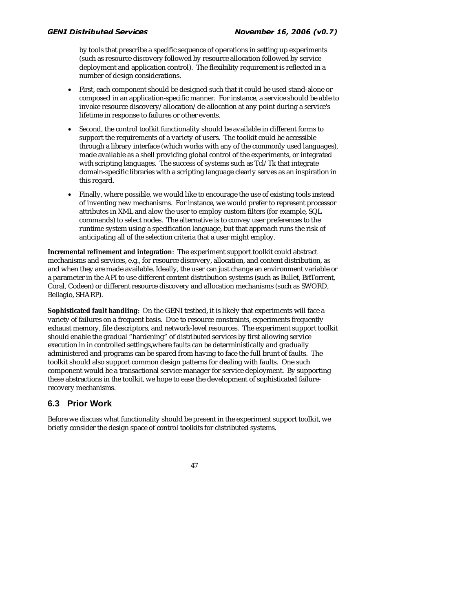by tools that prescribe a specific sequence of operations in setting up experiments (such as resource discovery followed by resource allocation followed by service deployment and application control). The flexibility requirement is reflected in a number of design considerations.

- First, each component should be designed such that it could be used stand-alone or composed in an application-specific manner. For instance, a service should be able to invoke resource discovery/allocation/de-allocation at any point during a service's lifetime in response to failures or other events.
- Second, the control toolkit functionality should be available in different forms to support the requirements of a variety of users. The toolkit could be accessible through a library interface (which works with any of the commonly used languages), made available as a shell providing global control of the experiments, or integrated with scripting languages. The success of systems such as Tcl/Tk that integrate domain-specific libraries with a scripting language clearly serves as an inspiration in this regard.
- Finally, where possible, we would like to encourage the use of existing tools instead of inventing new mechanisms. For instance, we would prefer to represent processor attributes in XML and alow the user to employ custom filters (for example, SQL commands) to select nodes. The alternative is to convey user preferences to the runtime system using a specification language, but that approach runs the risk of anticipating all of the selection criteria that a user might employ.

**Incremental refinement and integration**: The experiment support toolkit could abstract mechanisms and services, e.g., for resource discovery, allocation, and content distribution, as and when they are made available. Ideally, the user can just change an environment variable or a parameter in the API to use different content distribution systems (such as Bullet, BitTorrent, Coral, Codeen) or different resource discovery and allocation mechanisms (such as SWORD, Bellagio, SHARP).

**Sophisticated fault handling**: On the GENI testbed, it is likely that experiments will face a variety of failures on a frequent basis. Due to resource constraints, experiments frequently exhaust memory, file descriptors, and network-level resources. The experiment support toolkit should enable the gradual "hardening" of distributed services by first allowing service execution in in controlled settings,where faults can be deterministically and gradually administered and programs can be spared from having to face the full brunt of faults. The toolkit should also support common design patterns for dealing with faults. One such component would be a transactional service manager for service deployment. By supporting these abstractions in the toolkit, we hope to ease the development of sophisticated failurerecovery mechanisms.

## **6.3 Prior Work**

Before we discuss what functionality should be present in the experiment support toolkit, we briefly consider the design space of control toolkits for distributed systems.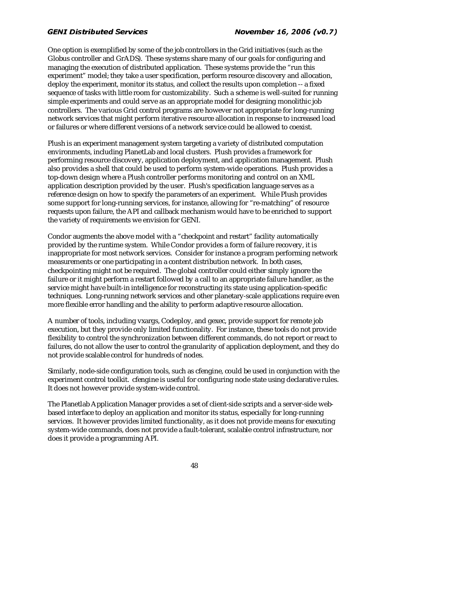One option is exemplified by some of the job controllers in the Grid initiatives (such as the Globus controller and GrADS). These systems share many of our goals for configuring and managing the execution of distributed application. These systems provide the "run this experiment" model; they take a user specification, perform resource discovery and allocation, deploy the experiment, monitor its status, and collect the results upon completion -- a fixed sequence of tasks with little room for customizability. Such a scheme is well-suited for running simple experiments and could serve as an appropriate model for designing monolithic job controllers. The various Grid control programs are however not appropriate for long-running network services that might perform iterative resource allocation in response to increased load or failures or where different versions of a network service could be allowed to coexist.

Plush is an experiment management system targeting a variety of distributed computation environments, including PlanetLab and local clusters. Plush provides a framework for performing resource discovery, application deployment, and application management. Plush also provides a shell that could be used to perform system-wide operations. Plush provides a top-down design where a Plush controller performs monitoring and control on an XML application description provided by the user. Plush's specification language serves as a reference design on how to specify the parameters of an experiment. While Plush provides some support for long-running services, for instance, allowing for "re-matching" of resource requests upon failure, the API and callback mechanism would have to be enriched to support the variety of requirements we envision for GENI.

Condor augments the above model with a "checkpoint and restart" facility automatically provided by the runtime system. While Condor provides a form of failure recovery, it is inappropriate for most network services. Consider for instance a program performing network measurements or one participating in a content distribution network. In both cases, checkpointing might not be required. The global controller could either simply ignore the failure or it might perform a restart followed by a call to an appropriate failure handler, as the service might have built-in intelligence for reconstructing its state using application-specific techniques. Long-running network services and other planetary-scale applications require even more flexible error handling and the ability to perform adaptive resource allocation.

A number of tools, including vxargs, Codeploy, and gexec, provide support for remote job execution, but they provide only limited functionality. For instance, these tools do not provide flexibility to control the synchronization between different commands, do not report or react to failures, do not allow the user to control the granularity of application deployment, and they do not provide scalable control for hundreds of nodes.

Similarly, node-side configuration tools, such as cfengine, could be used in conjunction with the experiment control toolkit. cfengine is useful for configuring node state using declarative rules. It does not however provide system-wide control.

The Planetlab Application Manager provides a set of client-side scripts and a server-side webbased interface to deploy an application and monitor its status, especially for long-running services. It however provides limited functionality, as it does not provide means for executing system-wide commands, does not provide a fault-tolerant, scalable control infrastructure, nor does it provide a programming API.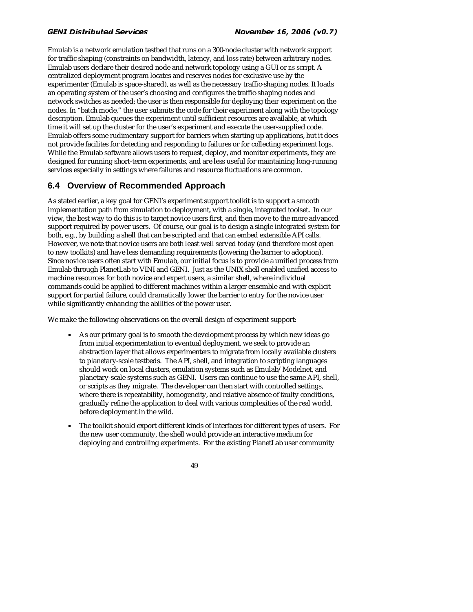Emulab is a network emulation testbed that runs on a 300-node cluster with network support for traffic shaping (constraints on bandwidth, latency, and loss rate) between arbitrary nodes. Emulab users declare their desired node and network topology using a GUI or *ns* script. A centralized deployment program locates and reserves nodes for exclusive use by the experimenter (Emulab is space-shared), as well as the necessary traffic-shaping nodes. It loads an operating system of the user's choosing and configures the traffic-shaping nodes and network switches as needed; the user is then responsible for deploying their experiment on the nodes. In "batch mode," the user submits the code for their experiment along with the topology description. Emulab queues the experiment until sufficient resources are available, at which time it will set up the cluster for the user's experiment and execute the user-supplied code. Emulab offers some rudimentary support for barriers when starting up applications, but it does not provide facilites for detecting and responding to failures or for collecting experiment logs. While the Emulab software allows users to request, deploy, and monitor experiments, they are designed for running short-term experiments, and are less useful for maintaining long-running services especially in settings where failures and resource fluctuations are common.

## **6.4 Overview of Recommended Approach**

As stated earlier, a key goal for GENI's experiment support toolkit is to support a smooth implementation path from simulation to deployment, with a single, integrated toolset. In our view, the best way to do this is to target novice users first, and then move to the more advanced support required by power users. Of course, our goal is to design a single integrated system for both, e.g., by building a shell that can be scripted and that can embed extensible API calls. However, we note that novice users are both least well served today (and therefore most open to new toolkits) and have less demanding requirements (lowering the barrier to adoption). Since novice users often start with Emulab, our initial focus is to provide a unified process from Emulab through PlanetLab to VINI and GENI. Just as the UNIX shell enabled unified access to machine resources for both novice and expert users, a similar shell, where individual commands could be applied to different machines within a larger ensemble and with explicit support for partial failure, could dramatically lower the barrier to entry for the novice user while significantly enhancing the abilities of the power user.

We make the following observations on the overall design of experiment support:

- As our primary goal is to smooth the development process by which new ideas go from initial experimentation to eventual deployment, we seek to provide an abstraction layer that allows experimenters to migrate from locally available clusters to planetary-scale testbeds. The API, shell, and integration to scripting languages should work on local clusters, emulation systems such as Emulab/Modelnet, and planetary-scale systems such as GENI. Users can continue to use the same API, shell, or scripts as they migrate. The developer can then start with controlled settings, where there is repeatability, homogeneity, and relative absence of faulty conditions, gradually refine the application to deal with various complexities of the real world, before deployment in the wild.
- The toolkit should export different kinds of interfaces for different types of users. For the new user community, the shell would provide an interactive medium for deploying and controlling experiments. For the existing PlanetLab user community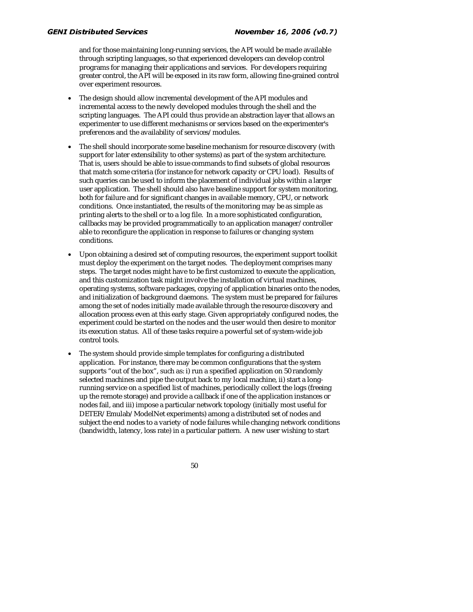and for those maintaining long-running services, the API would be made available through scripting languages, so that experienced developers can develop control programs for managing their applications and services. For developers requiring greater control, the API will be exposed in its raw form, allowing fine-grained control over experiment resources.

- The design should allow incremental development of the API modules and incremental access to the newly developed modules through the shell and the scripting languages. The API could thus provide an abstraction layer that allows an experimenter to use different mechanisms or services based on the experimenter's preferences and the availability of services/modules.
- The shell should incorporate some baseline mechanism for resource discovery (with support for later extensibility to other systems) as part of the system architecture. That is, users should be able to issue commands to find subsets of global resources that match some criteria (for instance for network capacity or CPU load). Results of such queries can be used to inform the placement of individual jobs within a larger user application. The shell should also have baseline support for system monitoring, both for failure and for significant changes in available memory, CPU, or network conditions. Once instantiated, the results of the monitoring may be as simple as printing alerts to the shell or to a log file. In a more sophisticated configuration, callbacks may be provided programmatically to an application manager/controller able to reconfigure the application in response to failures or changing system conditions.
- Upon obtaining a desired set of computing resources, the experiment support toolkit must deploy the experiment on the target nodes. The deployment comprises many steps. The target nodes might have to be first customized to execute the application, and this customization task might involve the installation of virtual machines, operating systems, software packages, copying of application binaries onto the nodes, and initialization of background daemons. The system must be prepared for failures among the set of nodes initially made available through the resource discovery and allocation process even at this early stage. Given appropriately configured nodes, the experiment could be started on the nodes and the user would then desire to monitor its execution status. All of these tasks require a powerful set of system-wide job control tools.
- The system should provide simple templates for configuring a distributed application. For instance, there may be common configurations that the system supports "out of the box", such as: i) run a specified application on 50 randomly selected machines and pipe the output back to my local machine, ii) start a longrunning service on a specified list of machines, periodically collect the logs (freeing up the remote storage) and provide a callback if one of the application instances or nodes fail, and iii) impose a particular network topology (initially most useful for DETER/Emulab/ModelNet experiments) among a distributed set of nodes and subject the end nodes to a variety of node failures while changing network conditions (bandwidth, latency, loss rate) in a particular pattern. A new user wishing to start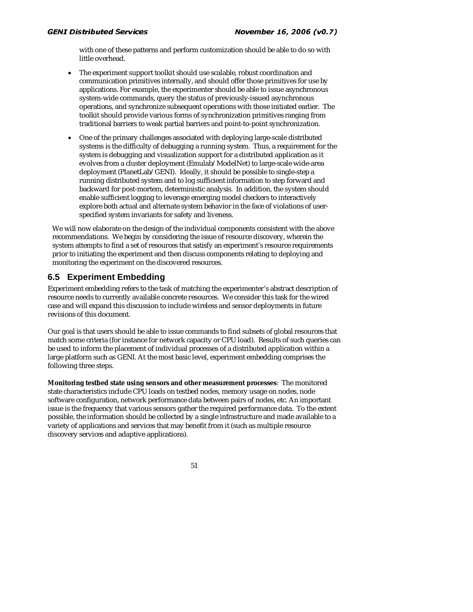with one of these patterns and perform customization should be able to do so with little overhead.

- The experiment support toolkit should use scalable, robust coordination and communication primitives internally, and should offer those primitives for use by applications. For example, the experimenter should be able to issue asynchronous system-wide commands, query the status of previously-issued asynchronous operations, and synchronize subsequent operations with those initiated earlier. The toolkit should provide various forms of synchronization primitives ranging from traditional barriers to weak partial barriers and point-to-point synchronization.
- One of the primary challenges associated with deploying large-scale distributed systems is the difficulty of debugging a running system. Thus, a requirement for the system is debugging and visualization support for a distributed application as it evolves from a cluster deployment (Emulab/ModelNet) to large-scale wide-area deployment (PlanetLab/GENI). Ideally, it should be possible to single-step a running distributed system and to log sufficient information to step forward and backward for post-mortem, deterministic analysis. In addition, the system should enable sufficient logging to leverage emerging model checkers to interactively explore both actual and alternate system behavior in the face of violations of userspecified system invariants for safety and liveness.

We will now elaborate on the design of the individual components consistent with the above recommendations. We begin by considering the issue of resource discovery, wherein the system attempts to find a set of resources that satisfy an experiment's resource requirements prior to initiating the experiment and then discuss components relating to deploying and monitoring the experiment on the discovered resources.

### **6.5 Experiment Embedding**

Experiment embedding refers to the task of matching the experimenter's abstract description of resource needs to currently available concrete resources. We consider this task for the wired case and will expand this discussion to include wireless and sensor deployments in future revisions of this document.

Our goal is that users should be able to issue commands to find subsets of global resources that match some criteria (for instance for network capacity or CPU load). Results of such queries can be used to inform the placement of individual processes of a distributed application within a large platform such as GENI. At the most basic level, experiment embedding comprises the following three steps.

**Monitoring testbed state using sensors and other measurement processes**: The monitored state characteristics include CPU loads on testbed nodes, memory usage on nodes, node software configuration, network performance data between pairs of nodes, etc. An important issue is the frequency that various sensors gather the required performance data. To the extent possible, the information should be collected by a single infrastructure and made available to a variety of applications and services that may benefit from it (such as multiple resource discovery services and adaptive applications).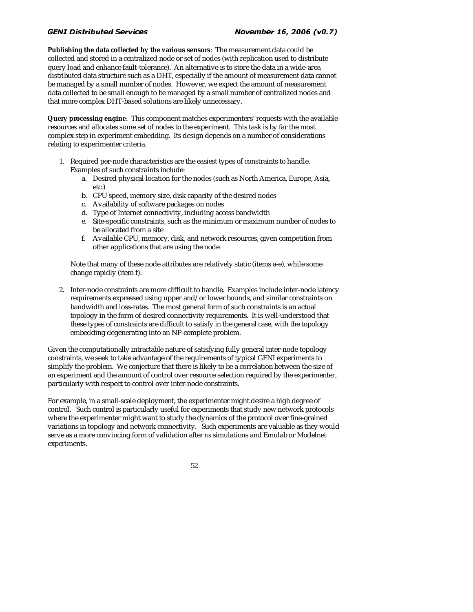**Publishing the data collected by the various sensors**: The measurement data could be collected and stored in a centralized node or set of nodes (with replication used to distribute query load and enhance fault-tolerance). An alternative is to store the data in a wide-area distributed data structure such as a DHT, especially if the amount of measurement data cannot be managed by a small number of nodes. However, we expect the amount of measurement data collected to be small enough to be managed by a small number of centralized nodes and that more complex DHT-based solutions are likely unnecessary.

**Query processing engine**: This component matches experimenters' requests with the available resources and allocates some set of nodes to the experiment. This task is by far the most complex step in experiment embedding. Its design depends on a number of considerations relating to experimenter criteria.

- 1. Required per-node characteristics are the easiest types of constraints to handle. Examples of such constraints include:
	- a. Desired physical location for the nodes (such as North America, Europe, Asia, etc.)
	- b. CPU speed, memory size, disk capacity of the desired nodes
	- c. Availability of software packages on nodes
	- d. Type of Internet connectivity, including access bandwidth
	- e. Site-specific constraints, such as the minimum or maximum number of nodes to be allocated from a site
	- f. Available CPU, memory, disk, and network resources, given competition from other applications that are using the node

Note that many of these node attributes are relatively static (items a-e), while some change rapidly (item f).

2. Inter-node constraints are more difficult to handle. Examples include inter-node latency requirements expressed using upper and/or lower bounds, and similar constraints on bandwidth and loss-rates. The most general form of such constraints is an actual topology in the form of desired connectivity requirements. It is well-understood that these types of constraints are difficult to satisfy in the general case, with the topology embedding degenerating into an NP-complete problem.

Given the computationally intractable nature of satisfying fully general inter-node topology constraints, we seek to take advantage of the requirements of typical GENI experiments to simplify the problem. We conjecture that there is likely to be a correlation between the size of an experiment and the amount of control over resource selection required by the experimenter, particularly with respect to control over inter-node constraints.

For example, in a small-scale deployment, the experimenter might desire a high degree of control. Such control is particularly useful for experiments that study new network protocols where the experimenter might want to study the dynamics of the protocol over fine-grained variations in topology and network connectivity. Such experiments are valuable as they would serve as a more convincing form of validation after *ns* simulations and Emulab or Modelnet experiments.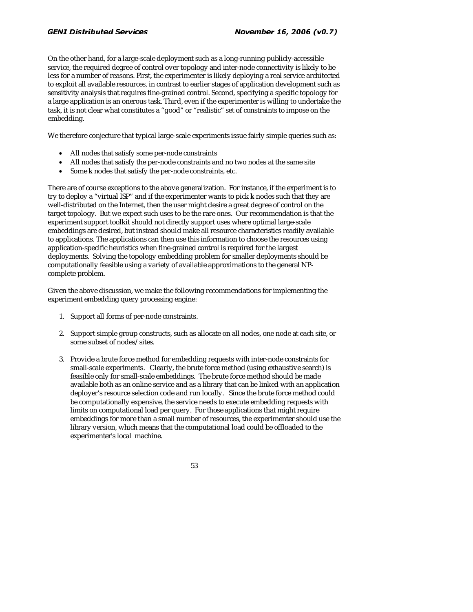On the other hand, for a large-scale deployment such as a long-running publicly-accessible service, the required degree of control over topology and inter-node connectivity is likely to be less for a number of reasons. First, the experimenter is likely deploying a real service architected to exploit all available resources, in contrast to earlier stages of application development such as sensitivity analysis that requires fine-grained control. Second, specifying a specific topology for a large application is an onerous task. Third, even if the experimenter is willing to undertake the task, it is not clear what constitutes a "good" or "realistic" set of constraints to impose on the embedding.

We therefore conjecture that typical large-scale experiments issue fairly simple queries such as:

- All nodes that satisfy some per-node constraints
- All nodes that satisfy the per-node constraints and no two nodes at the same site
- Some *k* nodes that satisfy the per-node constraints, etc.

There are of course exceptions to the above generalization. For instance, if the experiment is to try to deploy a "virtual ISP" and if the experimenter wants to pick *k* nodes such that they are well-distributed on the Internet, then the user might desire a great degree of control on the target topology. But we expect such uses to be the rare ones. Our recommendation is that the experiment support toolkit should not directly support uses where optimal large-scale embeddings are desired, but instead should make all resource characteristics readily available to applications. The applications can then use this information to choose the resources using application-specific heuristics when fine-grained control is required for the largest deployments. Solving the topology embedding problem for smaller deployments should be computationally feasible using a variety of available approximations to the general NPcomplete problem.

Given the above discussion, we make the following recommendations for implementing the experiment embedding query processing engine:

- 1. Support all forms of per-node constraints.
- 2. Support simple group constructs, such as allocate on all nodes, one node at each site, or some subset of nodes/sites.
- 3. Provide a brute force method for embedding requests with inter-node constraints for small-scale experiments. Clearly, the brute force method (using exhaustive search) is feasible only for small-scale embeddings. The brute force method should be made available both as an online service and as a library that can be linked with an application deployer's resource selection code and run locally. Since the brute force method could be computationally expensive, the service needs to execute embedding requests with limits on computational load per query. For those applications that might require embeddings for more than a small number of resources, the experimenter should use the library version, which means that the computational load could be offloaded to the experimenter's local machine.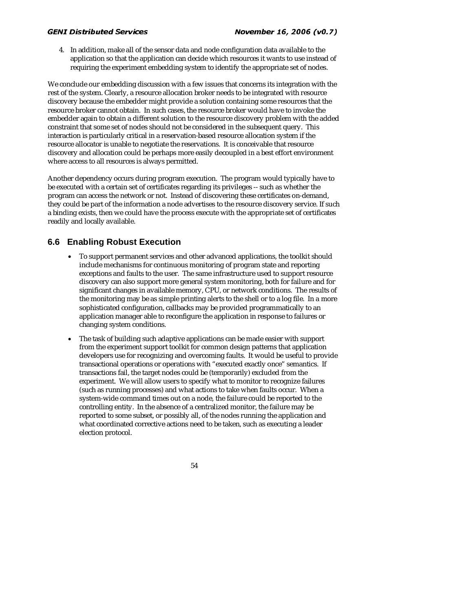4. In addition, make all of the sensor data and node configuration data available to the application so that the application can decide which resources it wants to use instead of requiring the experiment embedding system to identify the appropriate set of nodes.

We conclude our embedding discussion with a few issues that concerns its integration with the rest of the system. Clearly, a resource allocation broker needs to be integrated with resource discovery because the embedder might provide a solution containing some resources that the resource broker cannot obtain. In such cases, the resource broker would have to invoke the embedder again to obtain a different solution to the resource discovery problem with the added constraint that some set of nodes should not be considered in the subsequent query. This interaction is particularly critical in a reservation-based resource allocation system if the resource allocator is unable to negotiate the reservations. It is conceivable that resource discovery and allocation could be perhaps more easily decoupled in a best effort environment where access to all resources is always permitted.

Another dependency occurs during program execution. The program would typically have to be executed with a certain set of certificates regarding its privileges -- such as whether the program can access the network or not. Instead of discovering these certificates on-demand, they could be part of the information a node advertises to the resource discovery service. If such a binding exists, then we could have the process execute with the appropriate set of certificates readily and locally available.

## **6.6 Enabling Robust Execution**

- To support permanent services and other advanced applications, the toolkit should include mechanisms for continuous monitoring of program state and reporting exceptions and faults to the user. The same infrastructure used to support resource discovery can also support more general system monitoring, both for failure and for significant changes in available memory, CPU, or network conditions. The results of the monitoring may be as simple printing alerts to the shell or to a log file. In a more sophisticated configuration, callbacks may be provided programmatically to an application manager able to reconfigure the application in response to failures or changing system conditions.
- The task of building such adaptive applications can be made easier with support from the experiment support toolkit for common design patterns that application developers use for recognizing and overcoming faults. It would be useful to provide transactional operations or operations with "executed exactly once" semantics. If transactions fail, the target nodes could be (temporarily) excluded from the experiment. We will allow users to specify what to monitor to recognize failures (such as running processes) and what actions to take when faults occur. When a system-wide command times out on a node, the failure could be reported to the controlling entity. In the absence of a centralized monitor, the failure may be reported to some subset, or possibly all, of the nodes running the application and what coordinated corrective actions need to be taken, such as executing a leader election protocol.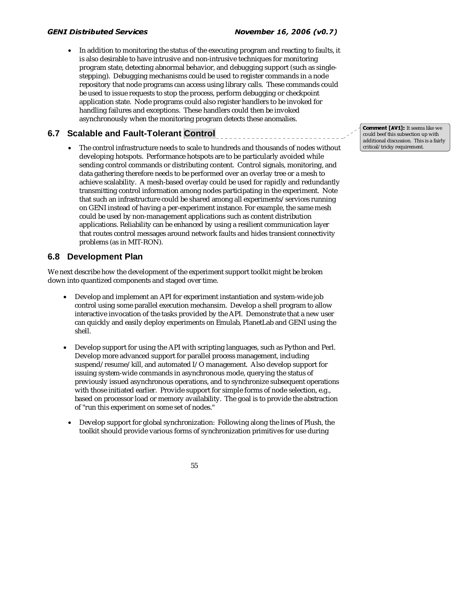• In addition to monitoring the status of the executing program and reacting to faults, it is also desirable to have intrusive and non-intrusive techniques for monitoring program state, detecting abnormal behavior, and debugging support (such as singlestepping). Debugging mechanisms could be used to register commands in a node repository that node programs can access using library calls. These commands could be used to issue requests to stop the process, perform debugging or checkpoint application state. Node programs could also register handlers to be invoked for handling failures and exceptions. These handlers could then be invoked asynchronously when the monitoring program detects these anomalies.

### **6.7 Scalable and Fault-Tolerant Control**

The control infrastructure needs to scale to hundreds and thousands of nodes without developing hotspots. Performance hotspots are to be particularly avoided while sending control commands or distributing content. Control signals, monitoring, and data gathering therefore needs to be performed over an overlay tree or a mesh to achieve scalability. A mesh-based overlay could be used for rapidly and redundantly transmitting control information among nodes participating in the experiment. Note that such an infrastructure could be shared among all experiments/services running on GENI instead of having a per-experiment instance. For example, the same mesh could be used by non-management applications such as content distribution applications. Reliability can be enhanced by using a resilient communication layer that routes control messages around network faults and hides transient connectivity problems (as in MIT-RON).

### **6.8 Development Plan**

55

We next describe how the development of the experiment support toolkit might be broken down into quantized components and staged over time.

- Develop and implement an API for experiment instantiation and system-wide job control using some parallel execution mechansim. Develop a shell program to allow interactive invocation of the tasks provided by the API. Demonstrate that a new user can quickly and easily deploy experiments on Emulab, PlanetLab and GENI using the shell.
- Develop support for using the API with scripting languages, such as Python and Perl. Develop more advanced support for parallel process management, including suspend/resume/kill, and automated I/O management. Also develop support for issuing system-wide commands in asynchronous mode, querying the status of previously issued asynchronous operations, and to synchronize subsequent operations with those initiated earlier. Provide support for simple forms of node selection, e.g., based on processor load or memory availability. The goal is to provide the abstraction of "run this experiment on some set of nodes."
- Develop support for global synchronization: Following along the lines of Plush, the toolkit should provide various forms of synchronization primitives for use during

**1]:** It seems like we<br>subsection up with<br>ussion. This is a fairl<sub>,</sub><br>equirement. could beef this subsection up with additional discussion. This is a fairly critical/tricky requirement.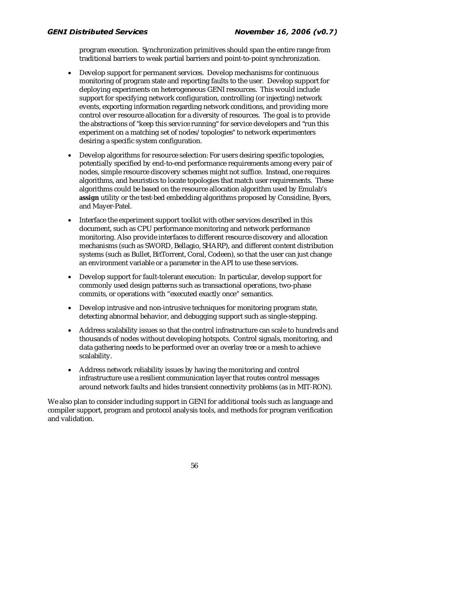program execution. Synchronization primitives should span the entire range from traditional barriers to weak partial barriers and point-to-point synchronization.

- Develop support for permanent services. Develop mechanisms for continuous monitoring of program state and reporting faults to the user. Develop support for deploying experiments on heterogeneous GENI resources. This would include support for specifying network configuration, controlling (or injecting) network events, exporting information regarding network conditions, and providing more control over resource allocation for a diversity of resources. The goal is to provide the abstractions of "keep this service running" for service developers and "run this experiment on a matching set of nodes/topologies" to network experimenters desiring a specific system configuration.
- Develop algorithms for resource selection: For users desiring specific topologies, potentially specified by end-to-end performance requirements among every pair of nodes, simple resource discovery schemes might not suffice. Instead, one requires algorithms, and heuristics to locate topologies that match user requirements. These algorithms could be based on the resource allocation algorithm used by Emulab's **assign** utility or the test-bed embedding algorithms proposed by Considine, Byers, and Mayer-Patel.
- Interface the experiment support toolkit with other services described in this document, such as CPU performance monitoring and network performance monitoring. Also provide interfaces to different resource discovery and allocation mechanisms (such as SWORD, Bellagio, SHARP), and different content distribution systems (such as Bullet, BitTorrent, Coral, Codeen), so that the user can just change an environment variable or a parameter in the API to use these services.
- Develop support for fault-tolerant execution: In particular, develop support for commonly used design patterns such as transactional operations, two-phase commits, or operations with "executed exactly once" semantics.
- Develop intrusive and non-intrusive techniques for monitoring program state, detecting abnormal behavior, and debugging support such as single-stepping.
- Address scalability issues so that the control infrastructure can scale to hundreds and thousands of nodes without developing hotspots. Control signals, monitoring, and data gathering needs to be performed over an overlay tree or a mesh to achieve scalability.
- Address network reliability issues by having the monitoring and control infrastructure use a resilient communication layer that routes control messages around network faults and hides transient connectivity problems (as in MIT-RON).

We also plan to consider including support in GENI for additional tools such as language and compiler support, program and protocol analysis tools, and methods for program verification and validation.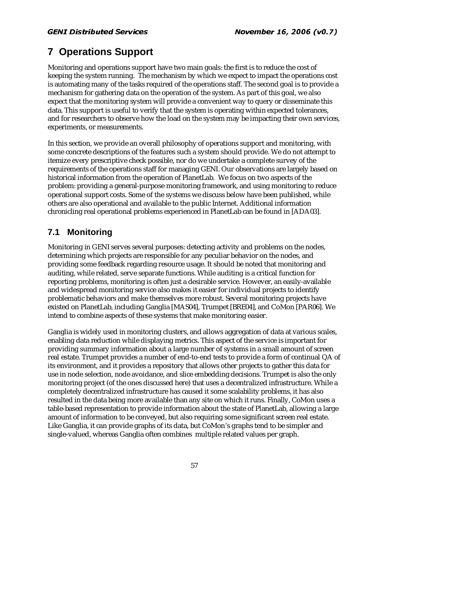## **7 Operations Support**

Monitoring and operations support have two main goals: the first is to reduce the cost of keeping the system running. The mechanism by which we expect to impact the operations cost is automating many of the tasks required of the operations staff. The second goal is to provide a mechanism for gathering data on the operation of the system. As part of this goal, we also expect that the monitoring system will provide a convenient way to query or disseminate this data. This support is useful to verify that the system is operating within expected tolerances, and for researchers to observe how the load on the system may be impacting their own services, experiments, or measurements.

In this section, we provide an overall philosophy of operations support and monitoring, with some concrete descriptions of the features such a system should provide. We do not attempt to itemize every prescriptive check possible, nor do we undertake a complete survey of the requirements of the operations staff for managing GENI. Our observations are largely based on historical information from the operation of PlanetLab. We focus on two aspects of the problem: providing a general-purpose monitoring framework, and using monitoring to reduce operational support costs. Some of the systems we discuss below have been published, while others are also operational and available to the public Internet. Additional information chronicling real operational problems experienced in PlanetLab can be found in [ADA03].

## **7.1 Monitoring**

Monitoring in GENI serves several purposes: detecting activity and problems on the nodes, determining which projects are responsible for any peculiar behavior on the nodes, and providing some feedback regarding resource usage. It should be noted that monitoring and auditing, while related, serve separate functions. While auditing is a critical function for reporting problems, monitoring is often just a desirable service. However, an easily-available and widespread monitoring service also makes it easier for individual projects to identify problematic behaviors and make themselves more robust. Several monitoring projects have existed on PlanetLab, including Ganglia [MAS04], Trumpet [BRE04], and CoMon [PAR06]. We intend to combine aspects of these systems that make monitoring easier.

Ganglia is widely used in monitoring clusters, and allows aggregation of data at various scales, enabling data reduction while displaying metrics. This aspect of the service is important for providing summary information about a large number of systems in a small amount of screen real estate. Trumpet provides a number of end-to-end tests to provide a form of continual QA of its environment, and it provides a repository that allows other projects to gather this data for use in node selection, node avoidance, and slice embedding decisions. Trumpet is also the only monitoring project (of the ones discussed here) that uses a decentralized infrastructure. While a completely decentralized infrastructure has caused it some scalability problems, it has also resulted in the data being more available than any site on which it runs. Finally, CoMon uses a table-based representation to provide information about the state of PlanetLab, allowing a large amount of information to be conveyed, but also requiring some significant screen real estate. Like Ganglia, it can provide graphs of its data, but CoMon's graphs tend to be simpler and single-valued, whereas Ganglia often combines multiple related values per graph.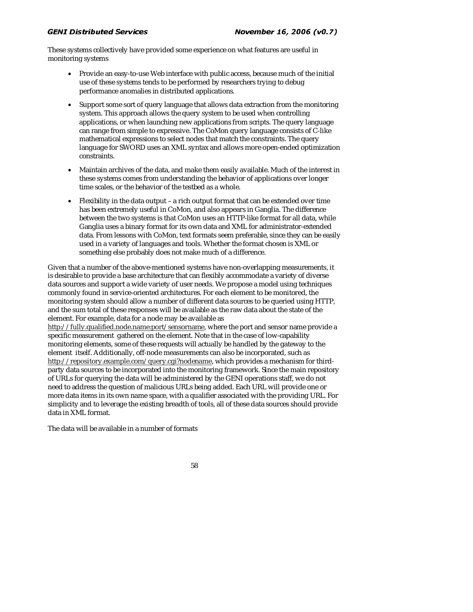These systems collectively have provided some experience on what features are useful in monitoring systems

- Provide an easy-to-use Web interface with public access, because much of the initial use of these systems tends to be performed by researchers trying to debug performance anomalies in distributed applications.
- Support some sort of query language that allows data extraction from the monitoring system. This approach allows the query system to be used when controlling applications, or when launching new applications from scripts. The query language can range from simple to expressive. The CoMon query language consists of C-like mathematical expressions to select nodes that match the constraints. The query language for SWORD uses an XML syntax and allows more open-ended optimization constraints.
- Maintain archives of the data, and make them easily available. Much of the interest in these systems comes from understanding the behavior of applications over longer time scales, or the behavior of the testbed as a whole.
- Flexibility in the data output a rich output format that can be extended over time has been extremely useful in CoMon, and also appears in Ganglia. The difference between the two systems is that CoMon uses an HTTP-like format for all data, while Ganglia uses a binary format for its own data and XML for administrator-extended data. From lessons with CoMon, text formats seem preferable, since they can be easily used in a variety of languages and tools. Whether the format chosen is XML or something else probably does not make much of a difference.

Given that a number of the above-mentioned systems have non-overlapping measurements, it is desirable to provide a base architecture that can flexibly accommodate a variety of diverse data sources and support a wide variety of user needs. We propose a model using techniques commonly found in service-oriented architectures. For each element to be monitored, the monitoring system should allow a number of different data sources to be queried using HTTP, and the sum total of these responses will be available as the raw data about the state of the element. For example, data for a node may be available as

http://fully.qualified.node.name:port/sensorname, where the port and sensor name provide a specific measurement gathered on the element. Note that in the case of low-capability monitoring elements, some of these requests will actually be handled by the gateway to the element itself. Additionally, off-node measurements can also be incorporated, such as http://repository.example.com/query.cgi?nodename, which provides a mechanism for thirdparty data sources to be incorporated into the monitoring framework. Since the main repository of URLs for querying the data will be administered by the GENI operations staff, we do not need to address the question of malicious URLs being added. Each URL will provide one or more data items in its own name space, with a qualifier associated with the providing URL. For simplicity and to leverage the existing breadth of tools, all of these data sources should provide data in XML format.

The data will be available in a number of formats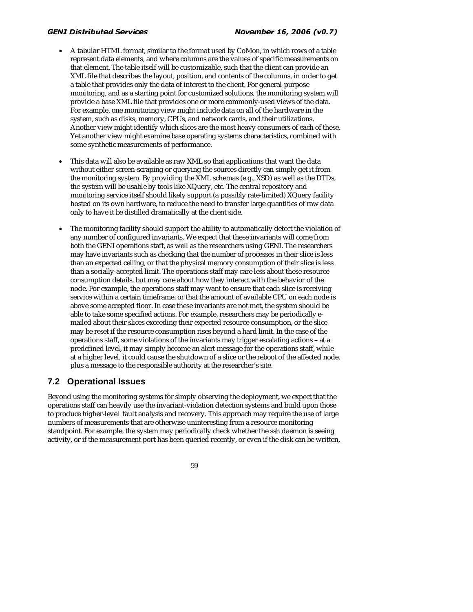- A tabular HTML format, similar to the format used by CoMon, in which rows of a table represent data elements, and where columns are the values of specific measurements on that element. The table itself will be customizable, such that the client can provide an XML file that describes the layout, position, and contents of the columns, in order to get a table that provides only the data of interest to the client. For general-purpose monitoring, and as a starting point for customized solutions, the monitoring system will provide a base XML file that provides one or more commonly-used views of the data. For example, one monitoring view might include data on all of the hardware in the system, such as disks, memory, CPUs, and network cards, and their utilizations. Another view might identify which slices are the most heavy consumers of each of these. Yet another view might examine base operating systems characteristics, combined with some synthetic measurements of performance.
- This data will also be available as raw XML so that applications that want the data without either screen-scraping or querying the sources directly can simply get it from the monitoring system. By providing the XML schemas (e.g., XSD) as well as the DTDs, the system will be usable by tools like XQuery, etc. The central repository and monitoring service itself should likely support (a possibly rate-limited) XQuery facility hosted on its own hardware, to reduce the need to transfer large quantities of raw data only to have it be distilled dramatically at the client side.
- The monitoring facility should support the ability to automatically detect the violation of any number of configured invariants. We expect that these invariants will come from both the GENI operations staff, as well as the researchers using GENI. The researchers may have invariants such as checking that the number of processes in their slice is less than an expected ceiling, or that the physical memory consumption of their slice is less than a socially-accepted limit. The operations staff may care less about these resource consumption details, but may care about how they interact with the behavior of the node. For example, the operations staff may want to ensure that each slice is receiving service within a certain timeframe, or that the amount of available CPU on each node is above some accepted floor. In case these invariants are not met, the system should be able to take some specified actions. For example, researchers may be periodically emailed about their slices exceeding their expected resource consumption, or the slice may be reset if the resource consumption rises beyond a hard limit. In the case of the operations staff, some violations of the invariants may trigger escalating actions – at a predefined level, it may simply become an alert message for the operations staff, while at a higher level, it could cause the shutdown of a slice or the reboot of the affected node, plus a message to the responsible authority at the researcher's site.

## **7.2 Operational Issues**

Beyond using the monitoring systems for simply observing the deployment, we expect that the operations staff can heavily use the invariant-violation detection systems and build upon those to produce higher-level fault analysis and recovery. This approach may require the use of large numbers of measurements that are otherwise uninteresting from a resource monitoring standpoint. For example, the system may periodically check whether the ssh daemon is seeing activity, or if the measurement port has been queried recently, or even if the disk can be written,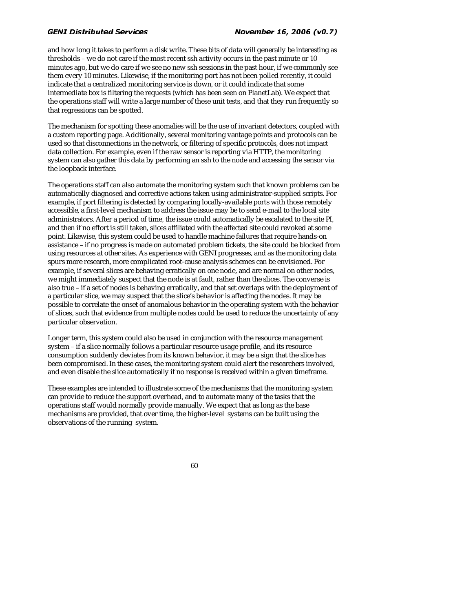and how long it takes to perform a disk write. These bits of data will generally be interesting as thresholds – we do not care if the most recent ssh activity occurs in the past minute or 10 minutes ago, but we do care if we see no new ssh sessions in the past hour, if we commonly see them every 10 minutes. Likewise, if the monitoring port has not been polled recently, it could indicate that a centralized monitoring service is down, or it could indicate that some intermediate box is filtering the requests (which has been seen on PlanetLab). We expect that the operations staff will write a large number of these unit tests, and that they run frequently so that regressions can be spotted.

The mechanism for spotting these anomalies will be the use of invariant detectors, coupled with a custom reporting page. Additionally, several monitoring vantage points and protocols can be used so that disconnections in the network, or filtering of specific protocols, does not impact data collection. For example, even if the raw sensor is reporting via HTTP, the monitoring system can also gather this data by performing an ssh to the node and accessing the sensor via the loopback interface.

The operations staff can also automate the monitoring system such that known problems can be automatically diagnosed and corrective actions taken using administrator-supplied scripts. For example, if port filtering is detected by comparing locally-available ports with those remotely accessible, a first-level mechanism to address the issue may be to send e-mail to the local site administrators. After a period of time, the issue could automatically be escalated to the site PI, and then if no effort is still taken, slices affiliated with the affected site could revoked at some point. Likewise, this system could be used to handle machine failures that require hands-on assistance – if no progress is made on automated problem tickets, the site could be blocked from using resources at other sites. As experience with GENI progresses, and as the monitoring data spurs more research, more complicated root-cause analysis schemes can be envisioned. For example, if several slices are behaving erratically on one node, and are normal on other nodes, we might immediately suspect that the node is at fault, rather than the slices. The converse is also true – if a set of nodes is behaving erratically, and that set overlaps with the deployment of a particular slice, we may suspect that the slice's behavior is affecting the nodes. It may be possible to correlate the onset of anomalous behavior in the operating system with the behavior of slices, such that evidence from multiple nodes could be used to reduce the uncertainty of any particular observation.

Longer term, this system could also be used in conjunction with the resource management system – if a slice normally follows a particular resource usage profile, and its resource consumption suddenly deviates from its known behavior, it may be a sign that the slice has been compromised. In these cases, the monitoring system could alert the researchers involved, and even disable the slice automatically if no response is received within a given timeframe.

These examples are intended to illustrate some of the mechanisms that the monitoring system can provide to reduce the support overhead, and to automate many of the tasks that the operations staff would normally provide manually. We expect that as long as the base mechanisms are provided, that over time, the higher-level systems can be built using the observations of the running system.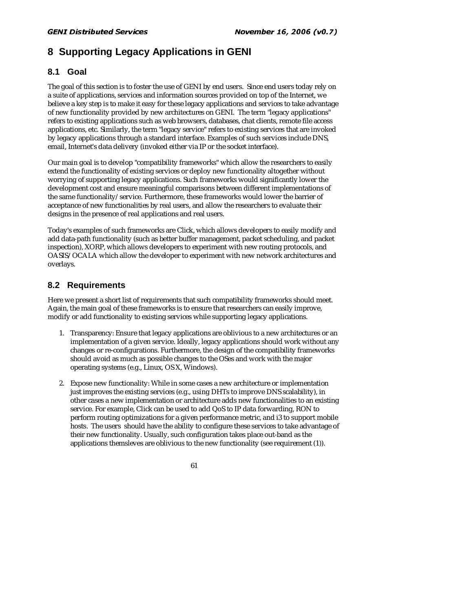## **8 Supporting Legacy Applications in GENI**

## **8.1 Goal**

The goal of this section is to foster the use of GENI by end users. Since end users today rely on a suite of applications, services and information sources provided on top of the Internet, we believe a key step is to make it easy for these legacy applications and services to take advantage of new functionality provided by new architectures on GENI. The term "legacy applications" refers to existing applications such as web browsers, databases, chat clients, remote file access applications, etc. Similarly, the term "legacy service" refers to existing services that are invoked by legacy applications through a standard interface. Examples of such services include DNS, email, Internet's data delivery (invoked either via IP or the socket interface).

Our main goal is to develop "compatibility frameworks" which allow the researchers to easily extend the functionality of existing services or deploy new functionality altogether without worrying of supporting legacy applications. Such frameworks would significantly lower the development cost and ensure meaningful comparisons between different implementations of the same functionality/service. Furthermore, these frameworks would lower the barrier of acceptance of new functionalities by real users, and allow the researchers to evaluate their designs in the presence of real applications and real users.

Today's examples of such frameworks are Click, which allows developers to easily modify and add data-path functionality (such as better buffer management, packet scheduling, and packet inspection), XORP, which allows developers to experiment with new routing protocols, and OASIS/OCALA which allow the developer to experiment with new network architectures and overlays.

## **8.2 Requirements**

Here we present a short list of requirements that such compatibility frameworks should meet. Again, the main goal of these frameworks is to ensure that researchers can easily improve, modify or add functionality to existing services while supporting legacy applications.

- 1. Transparency: Ensure that legacy applications are oblivious to a new architectures or an implementation of a given service. Ideally, legacy applications should work without any changes or re-configurations. Furthermore, the design of the compatibility frameworks should avoid as much as possible changes to the OSes and work with the major operating systems (e.g., Linux, OS X, Windows).
- 2. Expose new functionality: While in some cases a new architecture or implementation just improves the existing services (e.g., using DHTs to improve DNS scalability), in other cases a new implementation or architecture adds new functionalities to an existing service. For example, Click can be used to add QoS to IP data forwarding, RON to perform routing optimizations for a given performance metric, and i3 to support mobile hosts. The users should have the ability to configure these services to take advantage of their new functionality. Usually, such configuration takes place out-band as the applications themsleves are oblivious to the new functionality (see requirement (1)).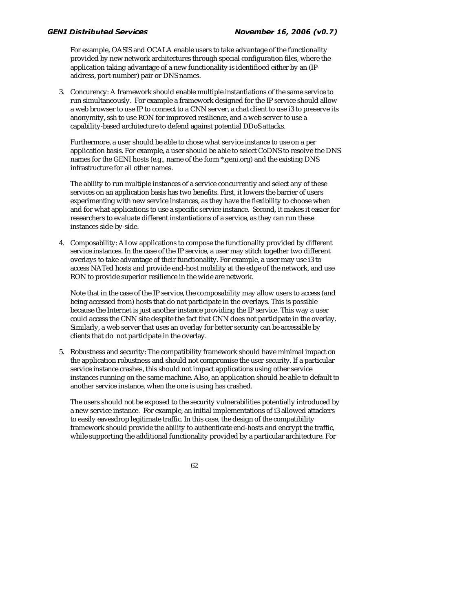For example, OASIS and OCALA enable users to take advantage of the functionality provided by new network architectures through special configuration files, where the application taking advantage of a new functionality is identifioed either by an (IPaddress, port-number) pair or DNS names.

3. Concurency: A framework should enable multiple instantiations of the same service to run simultaneously. For example a framework designed for the IP service should allow a web browser to use IP to connect to a CNN server, a chat client to use i3 to preserve its anonymity, ssh to use RON for improved resilience, and a web server to use a capability-based architecture to defend against potential DDoS attacks.

Furthermore, a user should be able to chose what service instance to use on a per application basis. For example, a user should be able to select CoDNS to resolve the DNS names for the GENI hosts (e.g., name of the form \*.geni.org) and the existing DNS infrastructure for all other names.

The ability to run multiple instances of a service concurrently and select any of these services on an application basis has two benefits. First, it lowers the barrier of users experimenting with new service instances, as they have the flexibility to choose when and for what applications to use a specific service instance. Second, it makes it easier for researchers to evaluate different instantiations of a service, as they can run these instances side-by-side.

4. Composability: Allow applications to compose the functionality provided by different service instances. In the case of the IP service, a user may stitch together two different overlays to take advantage of their functionality. For example, a user may use i3 to access NATed hosts and provide end-host mobility at the edge of the network, and use RON to provide superior resilience in the wide are network.

Note that in the case of the IP service, the composability may allow users to access (and being accessed from) hosts that do not participate in the overlays. This is possible because the Internet is just another instance providing the IP service. This way a user could access the CNN site despite the fact that CNN does not participate in the overlay. Similarly, a web server that uses an overlay for better security can be accessible by clients that do not participate in the overlay.

5. Robustness and security: The compatibility framework should have minimal impact on the application robustness and should not compromise the user security. If a particular service instance crashes, this should not impact applications using other service instances running on the same machine. Also, an application should be able to default to another service instance, when the one is using has crashed.

The users should not be exposed to the security vulnerabilities potentially introduced by a new service instance. For example, an initial implementations of i3 allowed attackers to easily eavesdrop legitimate traffic. In this case, the design of the compatibility framework should provide the ability to authenticate end-hosts and encrypt the traffic, while supporting the additional functionality provided by a particular architecture. For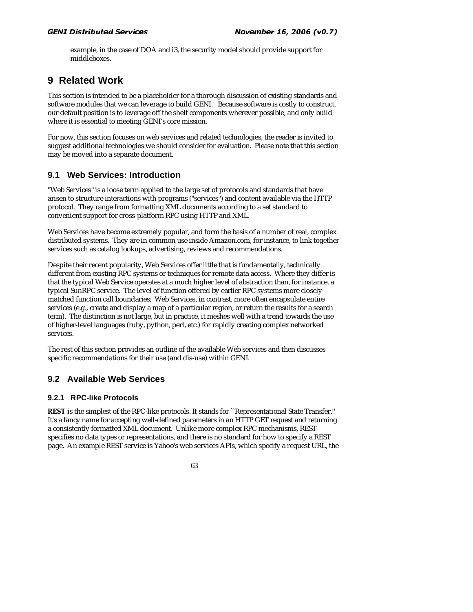example, in the case of DOA and i3, the security model should provide support for middleboxes.

## **9 Related Work**

This section is intended to be a placeholder for a thorough discussion of existing standards and software modules that we can leverage to build GENI. Because software is costly to construct, our default position is to leverage off the shelf components wherever possible, and only build where it is essential to meeting GENI's core mission.

For now, this section focuses on web services and related technologies; the reader is invited to suggest additional technologies we should consider for evaluation. Please note that this section may be moved into a separate document.

## **9.1 Web Services: Introduction**

"Web Services" is a loose term applied to the large set of protocols and standards that have arisen to structure interactions with programs ("services") and content available via the HTTP protocol. They range from formatting XML documents according to a set standard to convenient support for cross-platform RPC using HTTP and XML.

Web Services have become extremely popular, and form the basis of a number of real, complex distributed systems. They are in common use inside Amazon.com, for instance, to link together services such as catalog lookups, advertising, reviews and recommendations.

Despite their recent popularity, Web Services offer little that is fundamentally, technically different from existing RPC systems or techniques for remote data access. Where they differ is that the typical Web Service operates at a much higher level of abstraction than, for instance, a typical SunRPC service. The level of function offered by earlier RPC systems more closely matched function call boundaries; Web Services, in contrast, more often encapsulate entire services (e.g., create and display a map of a particular region, or return the results for a search term). The distinction is not large, but in practice, it meshes well with a trend towards the use of higher-level languages (ruby, python, perl, etc.) for rapidly creating complex networked services.

The rest of this section provides an outline of the available Web services and then discusses specific recommendations for their use (and dis-use) within GENI.

## **9.2 Available Web Services**

### **9.2.1 RPC-like Protocols**

**REST** is the simplest of the RPC-like protocols. It stands for ``Representational State Transfer.'' It's a fancy name for accepting well-defined parameters in an HTTP GET request and returning a consistently formatted XML document. Unlike more complex RPC mechanisms, REST specifies no data types or representations, and there is no standard for how to specify a REST page. An example REST service is Yahoo's web services APIs, which specify a request URL, the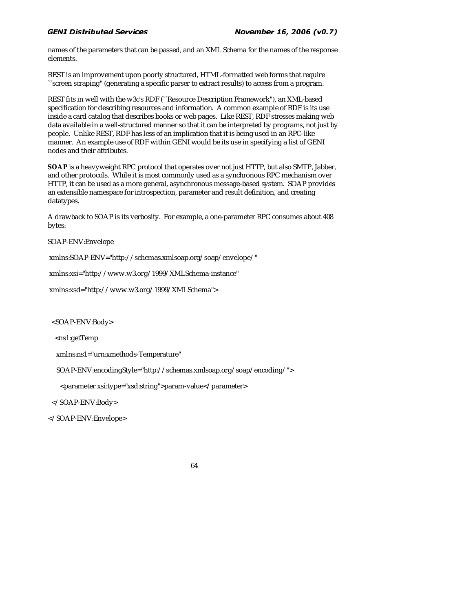#### $\sum_{i=1}^{n}$ palla Scr

names of the parameters that can be passed, and an XML Schema for the names of the response elements.

REST is an improvement upon poorly structured, HTML-formatted web forms that require ``screen scraping'' (generating a specific parser to extract results) to access from a program.

REST fits in well with the w3c's RDF (``Resource Description Framework''), an XML-based specification for describing resources and information. A common example of RDF is its use inside a card catalog that describes books or web pages. Like REST, RDF stresses making web data available in a well-structured manner so that it can be interpreted by programs, not just by people. Unlike REST, RDF has less of an implication that it is being used in an RPC-like manner. An example use of RDF within GENI would be its use in specifying a list of GENI nodes and their attributes.

**SOAP** is a heavyweight RPC protocol that operates over not just HTTP, but also SMTP, Jabber, and other protocols. While it is most commonly used as a synchronous RPC mechanism over HTTP, it can be used as a more general, asynchronous message-based system. SOAP provides an extensible namespace for introspection, parameter and result definition, and creating datatypes.

A drawback to SOAP is its verbosity. For example, a one-parameter RPC consumes about 408 bytes:

SOAP-ENV:Envelope

xmlns:SOAP-ENV="http://schemas.xmlsoap.org/soap/envelope/"

xmlns:xsi="http://www.w3.org/1999/XMLSchema-instance"

xmlns:xsd="http://www.w3.org/1999/XMLSchema">

<SOAP-ENV:Body>

<ns1:getTemp

xmlns:ns1="urn:xmethods-Temperature"

SOAP-ENV:encodingStyle="http://schemas.xmlsoap.org/soap/encoding/">

<parameter xsi:type="xsd:string">param-value</parameter>

</SOAP-ENV:Body>

</SOAP-ENV:Envelope>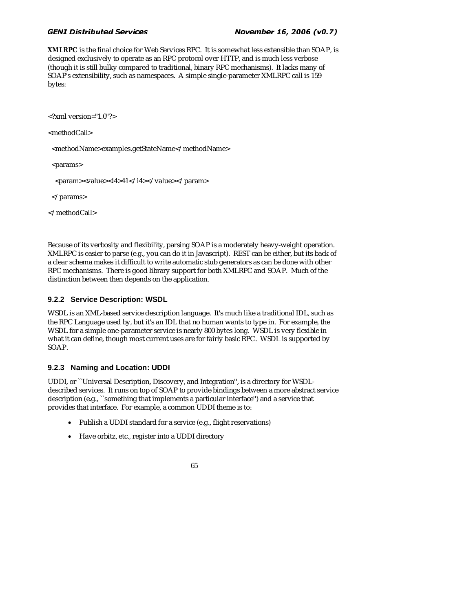**XMLRPC** is the final choice for Web Services RPC. It is somewhat less extensible than SOAP, is designed exclusively to operate as an RPC protocol over HTTP, and is much less verbose (though it is still bulky compared to traditional, binary RPC mechanisms). It lacks many of SOAP's extensibility, such as namespaces. A simple single-parameter XMLRPC call is 159 bytes:

<?xml version="1.0"?>

<methodCall>

<methodName>examples.getStateName</methodName>

<params>

<param><value><i4>41</i4></value></param>

</params>

</methodCall>

Because of its verbosity and flexibility, parsing SOAP is a moderately heavy-weight operation. XMLRPC is easier to parse (e.g., you can do it in Javascript). REST can be either, but its back of a clear schema makes it difficult to write automatic stub generators as can be done with other RPC mechanisms. There is good library support for both XMLRPC and SOAP. Much of the distinction between then depends on the application.

### **9.2.2 Service Description: WSDL**

WSDL is an XML-based service description language. It's much like a traditional IDL, such as the RPC Language used by, but it's an IDL that no human wants to type in. For example, the WSDL for a simple one-parameter service is nearly 800 bytes long. WSDL is very flexible in what it can define, though most current uses are for fairly basic RPC. WSDL is supported by SOAP.

### **9.2.3 Naming and Location: UDDI**

UDDI, or ``Universal Description, Discovery, and Integration'', is a directory for WSDLdescribed services. It runs on top of SOAP to provide bindings between a more abstract service description (e.g., ``something that implements a particular interface'') and a service that provides that interface. For example, a common UDDI theme is to:

- Publish a UDDI standard for a service (e.g., flight reservations)
- Have orbitz, etc., register into a UDDI directory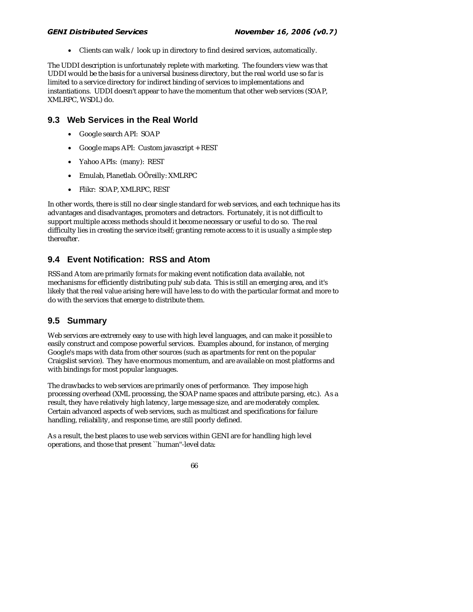• Clients can walk / look up in directory to find desired services, automatically.

The UDDI description is unfortunately replete with marketing. The founders view was that UDDI would be the basis for a universal business directory, but the real world use so far is limited to a service directory for indirect binding of services to implementations and instantiations. UDDI doesn't appear to have the momentum that other web services (SOAP, XMLRPC, WSDL) do.

### **9.3 Web Services in the Real World**

- Google search API: SOAP
- Google maps API: Custom javascript + REST
- Yahoo APIs: (many): REST
- Emulab, Planetlab. OÕreilly: XMLRPC
- Flikr: SOAP, XMLRPC, REST

In other words, there is still no clear single standard for web services, and each technique has its advantages and disadvantages, promoters and detractors. Fortunately, it is not difficult to support multiple access methods should it become necessary or useful to do so. The real difficulty lies in creating the service itself; granting remote access to it is usually a simple step thereafter.

## **9.4 Event Notification: RSS and Atom**

RSS and Atom are primarily *formats* for making event notification data available, not mechanisms for efficiently distributing pub/sub data. This is still an emerging area, and it's likely that the real value arising here will have less to do with the particular format and more to do with the services that emerge to distribute them.

## **9.5 Summary**

Web services are extremely easy to use with high level languages, and can make it possible to easily construct and compose powerful services. Examples abound, for instance, of merging Google's maps with data from other sources (such as apartments for rent on the popular Craigslist service). They have enormous momentum, and are available on most platforms and with bindings for most popular languages.

The drawbacks to web services are primarily ones of performance. They impose high processing overhead (XML processing, the SOAP name spaces and attribute parsing, etc.). As a result, they have relatively high latency, large message size, and are moderately complex. Certain advanced aspects of web services, such as multicast and specifications for failure handling, reliability, and response time, are still poorly defined.

As a result, the best places to use web services within GENI are for handling high level operations, and those that present ``human''-level data:

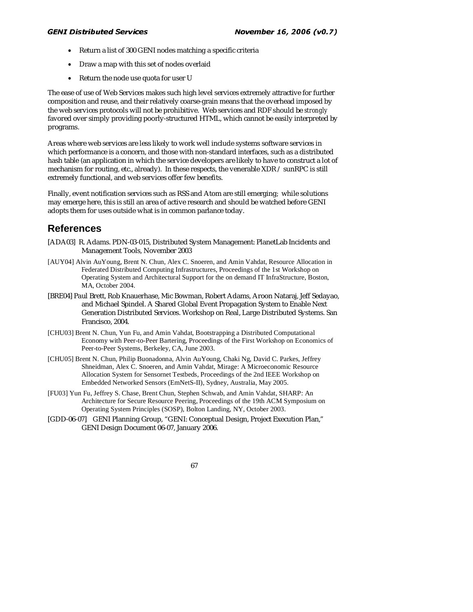- Return a list of 300 GENI nodes matching a specific criteria
- Draw a map with this set of nodes overlaid
- Return the node use quota for user U

The ease of use of Web Services makes such high level services extremely attractive for further composition and reuse, and their relatively coarse-grain means that the overhead imposed by the web services protocols will not be prohibitive. Web services and RDF should be *strongly* favored over simply providing poorly-structured HTML, which cannot be easily interpreted by programs.

Areas where web services are less likely to work well include systems software services in which performance is a concern, and those with non-standard interfaces, such as a distributed hash table (an application in which the service developers are likely to have to construct a lot of mechanism for routing, etc., already). In these respects, the venerable  $XDR / sumRPC$  is still extremely functional, and web services offer few benefits.

Finally, event notification services such as RSS and Atom are still emerging; while solutions may emerge here, this is still an area of active research and should be watched before GENI adopts them for uses outside what is in common parlance today.

## **References**

- [ADA03] R. Adams. PDN-03-015, Distributed System Management: PlanetLab Incidents and Management Tools, November 2003
- [AUY04] Alvin AuYoung, Brent N. Chun, Alex C. Snoeren, and Amin Vahdat, Resource Allocation in Federated Distributed Computing Infrastructures, Proceedings of the 1st Workshop on Operating System and Architectural Support for the on demand IT InfraStructure, Boston, MA, October 2004.
- [BRE04] Paul Brett, Rob Knauerhase, Mic Bowman, Robert Adams, Aroon Nataraj, Jeff Sedayao, and Michael Spindel. A Shared Global Event Propagation System to Enable Next Generation Distributed Services. Workshop on Real, Large Distributed Systems. San Francisco, 2004.
- [CHU03] Brent N. Chun, Yun Fu, and Amin Vahdat, Bootstrapping a Distributed Computational Economy with Peer-to-Peer Bartering, Proceedings of the First Workshop on Economics of Peer-to-Peer Systems, Berkeley, CA, June 2003.
- [CHU05] Brent N. Chun, Philip Buonadonna, Alvin AuYoung, Chaki Ng, David C. Parkes, Jeffrey Shneidman, Alex C. Snoeren, and Amin Vahdat, Mirage: A Microeconomic Resource Allocation System for Sensornet Testbeds, Proceedings of the 2nd IEEE Workshop on Embedded Networked Sensors (EmNetS-II), Sydney, Australia, May 2005.
- [FU03] Yun Fu, Jeffrey S. Chase, Brent Chun, Stephen Schwab, and Amin Vahdat, SHARP: An Architecture for Secure Resource Peering, Proceedings of the 19th ACM Symposium on Operating System Principles (SOSP), Bolton Landing, NY, October 2003.
- [GDD-06-07] GENI Planning Group, "GENI: Conceptual Design, Project Execution Plan," GENI Design Document 06-07, January 2006.